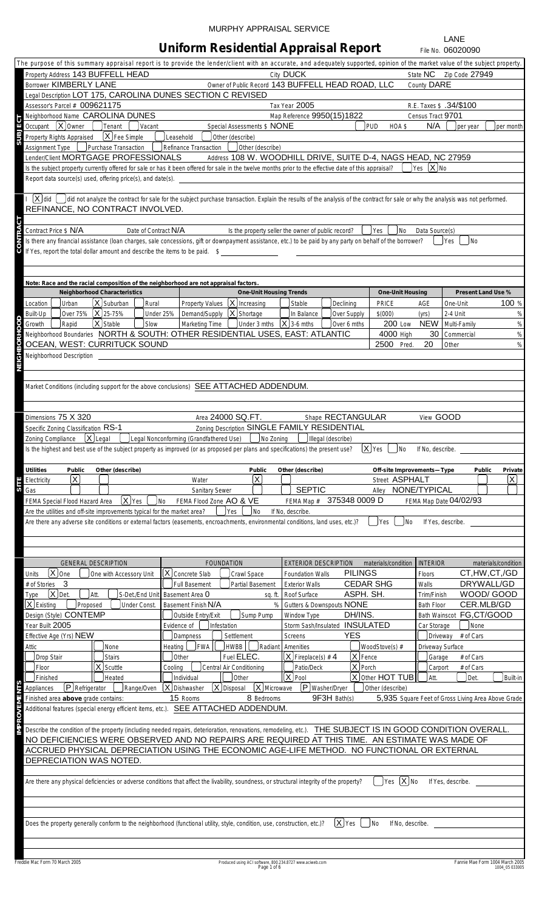### MURPHY APPRAISAL SERVICE

# **Uniform Residential Appraisal Report**

LANE

| The purpose of this summary appraisal report is to provide the lender/client with an accurate, and adequately supported, opinion of the market value of the subject property.<br>Property Address 143 BUFFELL HEAD<br><b>Borrower KIMBERLY LANE</b><br>Legal Description LOT 175, CAROLINA DUNES SECTION C REVISED |                                |                                                     |                                                               |                                                 |                         |                                                    |                     |
|--------------------------------------------------------------------------------------------------------------------------------------------------------------------------------------------------------------------------------------------------------------------------------------------------------------------|--------------------------------|-----------------------------------------------------|---------------------------------------------------------------|-------------------------------------------------|-------------------------|----------------------------------------------------|---------------------|
|                                                                                                                                                                                                                                                                                                                    |                                |                                                     |                                                               |                                                 |                         |                                                    |                     |
|                                                                                                                                                                                                                                                                                                                    |                                |                                                     | City DUCK                                                     |                                                 |                         | State NC    Zip Code 27949                         |                     |
|                                                                                                                                                                                                                                                                                                                    |                                |                                                     | Owner of Public Record 143 BUFFELL HEAD ROAD, LLC             |                                                 | County DARE             |                                                    |                     |
|                                                                                                                                                                                                                                                                                                                    |                                |                                                     |                                                               |                                                 |                         |                                                    |                     |
| Assessor's Parcel # 009621175                                                                                                                                                                                                                                                                                      |                                |                                                     | Tax Year 2005                                                 |                                                 | R.E. Taxes \$ .34/\$100 |                                                    |                     |
| Neighborhood Name CAROLINA DUNES                                                                                                                                                                                                                                                                                   |                                |                                                     | Map Reference 9950(15)1822                                    |                                                 | Census Tract 9701       |                                                    |                     |
| 5<br>$[X]$ Owner<br>п<br>Tenant<br>Occupant                                                                                                                                                                                                                                                                        | Vacant                         | Special Assessments \$ NONE                         |                                                               | PUD<br>HOA \$                                   | N/A                     | per year                                           | per month           |
| $[X]$ Fee Simple<br>Property Rights Appraised                                                                                                                                                                                                                                                                      | Leasehold                      | Other (describe)                                    |                                                               |                                                 |                         |                                                    |                     |
| Assignment Type   Purchase Transaction                                                                                                                                                                                                                                                                             | Refinance Transaction          | Other (describe)                                    |                                                               |                                                 |                         |                                                    |                     |
| Lender/Client MORTGAGE PROFESSIONALS                                                                                                                                                                                                                                                                               |                                |                                                     | Address 108 W. WOODHILL DRIVE, SUITE D-4, NAGS HEAD, NC 27959 |                                                 |                         |                                                    |                     |
|                                                                                                                                                                                                                                                                                                                    |                                |                                                     |                                                               |                                                 | Yes $ X $ No            |                                                    |                     |
| Is the subject property currently offered for sale or has it been offered for sale in the twelve months prior to the effective date of this appraisal?                                                                                                                                                             |                                |                                                     |                                                               |                                                 |                         |                                                    |                     |
| Report data source(s) used, offering price(s), and date(s).                                                                                                                                                                                                                                                        |                                |                                                     |                                                               |                                                 |                         |                                                    |                     |
|                                                                                                                                                                                                                                                                                                                    |                                |                                                     |                                                               |                                                 |                         |                                                    |                     |
| I  X   did   did not analyze the contract for sale for the subject purchase transaction. Explain the results of the analysis of the contract for sale or why the analysis was not performed.                                                                                                                       |                                |                                                     |                                                               |                                                 |                         |                                                    |                     |
| REFINANCE, NO CONTRACT INVOLVED.                                                                                                                                                                                                                                                                                   |                                |                                                     |                                                               |                                                 |                         |                                                    |                     |
| RACT                                                                                                                                                                                                                                                                                                               |                                |                                                     |                                                               |                                                 |                         |                                                    |                     |
| Contract Price \$ N/A                                                                                                                                                                                                                                                                                              | Date of Contract N/A           |                                                     | Is the property seller the owner of public record?            | <b>Yes</b><br>No                                | Data Source(s)          |                                                    |                     |
| Is there any financial assistance (loan charges, sale concessions, gift or downpayment assistance, etc.) to be paid by any party on behalf of the borrower?                                                                                                                                                        |                                |                                                     |                                                               |                                                 | Yes                     | - I No                                             |                     |
| 8<br>If Yes, report the total dollar amount and describe the items to be paid. \$                                                                                                                                                                                                                                  |                                |                                                     |                                                               |                                                 |                         |                                                    |                     |
|                                                                                                                                                                                                                                                                                                                    |                                |                                                     |                                                               |                                                 |                         |                                                    |                     |
|                                                                                                                                                                                                                                                                                                                    |                                |                                                     |                                                               |                                                 |                         |                                                    |                     |
| Note: Race and the racial composition of the neighborhood are not appraisal factors.                                                                                                                                                                                                                               |                                |                                                     |                                                               |                                                 |                         |                                                    |                     |
| Neighborhood Characteristics                                                                                                                                                                                                                                                                                       |                                | <b>One-Unit Housing Trends</b>                      |                                                               | <b>One-Unit Housing</b>                         |                         | <b>Present Land Use %</b>                          |                     |
| X Suburban<br>Urban<br>Location                                                                                                                                                                                                                                                                                    | Rural                          | Property Values $\lfloor x \rfloor$ Increasing      | Stable<br>Declining                                           | <b>PRICE</b>                                    | AGE                     | One-Unit                                           | 100 %               |
| $X$ 25-75%<br><b>Over 75%</b><br>Built-Up                                                                                                                                                                                                                                                                          | Under 25%                      | Demand/Supply   X Shortage                          | In Balance<br>Over Supply                                     | \$(000)                                         | (yrs)                   | 2-4 Unit                                           | %                   |
| $ X $ Stable<br>Rapid<br>Growth                                                                                                                                                                                                                                                                                    | Slow<br>Marketing Time         | Under 3 mths $\lfloor X \rfloor$ 3-6 mths           | Over 6 mths                                                   | <b>200 Low</b>                                  | NEW                     | Multi-Family                                       | %                   |
| Neighborhood Boundaries NORTH & SOUTH: OTHER RESIDENTIAL USES, EAST: ATLANTIC                                                                                                                                                                                                                                      |                                |                                                     |                                                               | 4000 High                                       | 30                      | Commercial                                         | $\%$                |
| OCEAN, WEST: CURRITUCK SOUND                                                                                                                                                                                                                                                                                       |                                |                                                     |                                                               | 2500 Pred.                                      | 20                      | Other                                              | $\%$                |
|                                                                                                                                                                                                                                                                                                                    |                                |                                                     |                                                               |                                                 |                         |                                                    |                     |
| Neighborhood Description<br>5<br>3                                                                                                                                                                                                                                                                                 |                                |                                                     |                                                               |                                                 |                         |                                                    |                     |
|                                                                                                                                                                                                                                                                                                                    |                                |                                                     |                                                               |                                                 |                         |                                                    |                     |
|                                                                                                                                                                                                                                                                                                                    |                                |                                                     |                                                               |                                                 |                         |                                                    |                     |
| Market Conditions (including support for the above conclusions) SEE ATTACHED ADDENDUM.                                                                                                                                                                                                                             |                                |                                                     |                                                               |                                                 |                         |                                                    |                     |
|                                                                                                                                                                                                                                                                                                                    |                                |                                                     |                                                               |                                                 |                         |                                                    |                     |
|                                                                                                                                                                                                                                                                                                                    |                                |                                                     |                                                               |                                                 |                         |                                                    |                     |
| Dimensions 75 X 320                                                                                                                                                                                                                                                                                                |                                | Area 24000 SQ.FT.                                   | Shape RECTANGULAR                                             |                                                 | View GOOD               |                                                    |                     |
| Specific Zoning Classification RS-1                                                                                                                                                                                                                                                                                |                                |                                                     | Zoning Description SINGLE FAMILY RESIDENTIAL                  |                                                 |                         |                                                    |                     |
| Zoning Compliance $ X $ Legal                                                                                                                                                                                                                                                                                      |                                | Legal Nonconforming (Grandfathered Use)   No Zoning | Illegal (describe)                                            |                                                 |                         |                                                    |                     |
| Is the highest and best use of the subject property as improved (or as proposed per plans and specifications) the present use?                                                                                                                                                                                     |                                |                                                     |                                                               | $[\chi]$ Yes<br>l No                            | If No, describe.        |                                                    |                     |
|                                                                                                                                                                                                                                                                                                                    |                                |                                                     |                                                               |                                                 |                         |                                                    |                     |
| <b>Utilities</b><br>Public<br>Other (describe)                                                                                                                                                                                                                                                                     |                                | Public                                              |                                                               |                                                 |                         |                                                    |                     |
|                                                                                                                                                                                                                                                                                                                    |                                |                                                     | Other (describe)                                              | Off-site Improvements-Type                      |                         | Public                                             | Private             |
| $\mathsf{[x]}$<br>Electricity                                                                                                                                                                                                                                                                                      | Water                          | $\mathsf{X}$                                        |                                                               | Street ASPHALT                                  |                         |                                                    | $\mathsf{X}$        |
| S<br>Gas                                                                                                                                                                                                                                                                                                           |                                | Sanitary Sewer                                      | <b>SEPTIC</b>                                                 | Alley NONE/TYPICAL                              |                         |                                                    |                     |
| $[X]$ Yes<br>FEMA Special Flood Hazard Area                                                                                                                                                                                                                                                                        | <b>No</b>                      | FEMA Flood Zone AO & VE                             | FEMA Map # 375348 0009 D                                      |                                                 | FEMA Map Date 04/02/93  |                                                    |                     |
| Are the utilities and off-site improvements typical for the market area?                                                                                                                                                                                                                                           |                                | Yes<br>No                                           | If No, describe.                                              |                                                 |                         |                                                    |                     |
| Are there any adverse site conditions or external factors (easements, encroachments, environmental conditions, land uses, etc.)?                                                                                                                                                                                   |                                |                                                     |                                                               | Yes<br>No                                       | If Yes, describe.       |                                                    |                     |
|                                                                                                                                                                                                                                                                                                                    |                                |                                                     |                                                               |                                                 |                         |                                                    |                     |
|                                                                                                                                                                                                                                                                                                                    |                                |                                                     |                                                               |                                                 |                         |                                                    |                     |
|                                                                                                                                                                                                                                                                                                                    |                                |                                                     |                                                               |                                                 |                         |                                                    |                     |
| <b>GENERAL DESCRIPTION</b>                                                                                                                                                                                                                                                                                         |                                | <b>FOUNDATION</b>                                   | <b>EXTERIOR DESCRIPTION</b>                                   | materials/condition                             | <b>INTERIOR</b>         |                                                    | materials/condition |
| $[X]$ One<br>One with Accessory Unit<br>Units                                                                                                                                                                                                                                                                      | $[X]$ Concrete Slab            | Crawl Space                                         | <b>Foundation Walls</b>                                       | <b>PILINGS</b>                                  | Floors                  | CT, HW, CT, / GD                                   |                     |
| # of Stories                                                                                                                                                                                                                                                                                                       | <b>Full Basement</b>           | <b>Partial Basement</b>                             | <b>Exterior Walls</b>                                         |                                                 | Walls                   |                                                    |                     |
| $\mathbf{3}$<br>S-Det./End Unit                                                                                                                                                                                                                                                                                    | Basement Area O                |                                                     |                                                               | <b>CEDAR SHG</b>                                |                         | DRYWALL/GD                                         |                     |
| $[X]$ Det.<br>Att.<br>Type                                                                                                                                                                                                                                                                                         |                                | sq. ft.                                             | Roof Surface                                                  | ASPH. SH.                                       | Trim/Finish             | WOOD/ GOOD                                         |                     |
| $\chi$ Existing<br>Proposed<br>Under Const.                                                                                                                                                                                                                                                                        | Basement Finish N/A            | %                                                   | <b>Gutters &amp; Downspouts NONE</b>                          |                                                 | <b>Bath Floor</b>       | CER.MLB/GD                                         |                     |
| Design (Style) CONTEMP                                                                                                                                                                                                                                                                                             | Outside Entry/Exit             | Sump Pump                                           | DH/INS.<br>Window Type                                        |                                                 |                         | Bath Wainscot FG, CT/GOOD                          |                     |
| Year Built 2005                                                                                                                                                                                                                                                                                                    | Evidence of                    | Infestation                                         | Storm Sash/Insulated INSULATED                                |                                                 | Car Storage             | None                                               |                     |
| Effective Age (Yrs) NEW                                                                                                                                                                                                                                                                                            | Dampness                       | Settlement                                          | <b>YES</b><br>Screens                                         |                                                 |                         | Driveway # of Cars                                 |                     |
| None<br>Attic                                                                                                                                                                                                                                                                                                      | <b>FWA</b><br>Heating          | HWBB<br>Radiant                                     | Amenities                                                     | WoodStove(s) #                                  | Driveway Surface        |                                                    |                     |
| Stairs<br>Drop Stair                                                                                                                                                                                                                                                                                               | Other                          | Fuel ELEC.                                          | $[X]$ Fireplace(s) # 4                                        | $[X]$ Fence                                     | Garage                  | # of Cars                                          |                     |
| $ X $ Scuttle<br>Floor                                                                                                                                                                                                                                                                                             | Cooling                        | Central Air Conditioning                            | Patio/Deck                                                    | $ X $ Porch                                     | Carport                 | # of Cars                                          |                     |
| Finished<br>Heated                                                                                                                                                                                                                                                                                                 | Individual                     | Other                                               | $\boxed{\mathsf{X}}$ Pool                                     | $ X $ Other HOT TUB                             | Att.                    | Det.                                               | Built-in            |
| $\boxed{\mathsf{P}}$ Refrigerator<br>Appliances                                                                                                                                                                                                                                                                    | $[X]$ Dishwasher<br>Range/Oven | $\bar{X}$ Microwave<br>$\overline{X}$ Disposal      | P Washer/Dryer                                                | Other (describe)                                |                         |                                                    |                     |
| Finished area above grade contains:                                                                                                                                                                                                                                                                                | 15 Rooms                       | 8 Bedrooms                                          | 9F3H Bath(s)                                                  |                                                 |                         | 5,935 Square Feet of Gross Living Area Above Grade |                     |
| Additional features (special energy efficient items, etc.). SEE ATTACHED ADDENDUM.                                                                                                                                                                                                                                 |                                |                                                     |                                                               |                                                 |                         |                                                    |                     |
|                                                                                                                                                                                                                                                                                                                    |                                |                                                     |                                                               |                                                 |                         |                                                    |                     |
| NDHSDN<br>Describe the condition of the property (including needed repairs, deterioration, renovations, remodeling, etc.). THE SUBJECT IS IN GOOD CONDITION OVERALL.                                                                                                                                               |                                |                                                     |                                                               |                                                 |                         |                                                    |                     |
| NO DEFICIENCIES WERE OBSERVED AND NO REPAIRS ARE REQUIRED AT THIS TIME. AN ESTIMATE WAS MADE OF                                                                                                                                                                                                                    |                                |                                                     |                                                               |                                                 |                         |                                                    |                     |
| ACCRUED PHYSICAL DEPRECIATION USING THE ECONOMIC AGE-LIFE METHOD. NO FUNCTIONAL OR EXTERNAL                                                                                                                                                                                                                        |                                |                                                     |                                                               |                                                 |                         |                                                    |                     |
| DEPRECIATION WAS NOTED.                                                                                                                                                                                                                                                                                            |                                |                                                     |                                                               |                                                 |                         |                                                    |                     |
|                                                                                                                                                                                                                                                                                                                    |                                |                                                     |                                                               |                                                 |                         |                                                    |                     |
|                                                                                                                                                                                                                                                                                                                    |                                |                                                     |                                                               |                                                 | If Yes. describe.       |                                                    |                     |
| Are there any physical deficiencies or adverse conditions that affect the livability, soundness, or structural integrity of the property?                                                                                                                                                                          |                                |                                                     |                                                               | $[X]_{\text{No}}$<br>Yes                        |                         |                                                    |                     |
|                                                                                                                                                                                                                                                                                                                    |                                |                                                     |                                                               |                                                 |                         |                                                    |                     |
|                                                                                                                                                                                                                                                                                                                    |                                |                                                     |                                                               |                                                 |                         |                                                    |                     |
|                                                                                                                                                                                                                                                                                                                    |                                |                                                     |                                                               |                                                 |                         |                                                    |                     |
| Does the property generally conform to the neighborhood (functional utility, style, condition, use, construction, etc.)?                                                                                                                                                                                           |                                |                                                     | $[X]$ Yes                                                     | $\overline{\phantom{a}}$ No<br>If No, describe. |                         |                                                    |                     |
|                                                                                                                                                                                                                                                                                                                    |                                |                                                     |                                                               |                                                 |                         |                                                    |                     |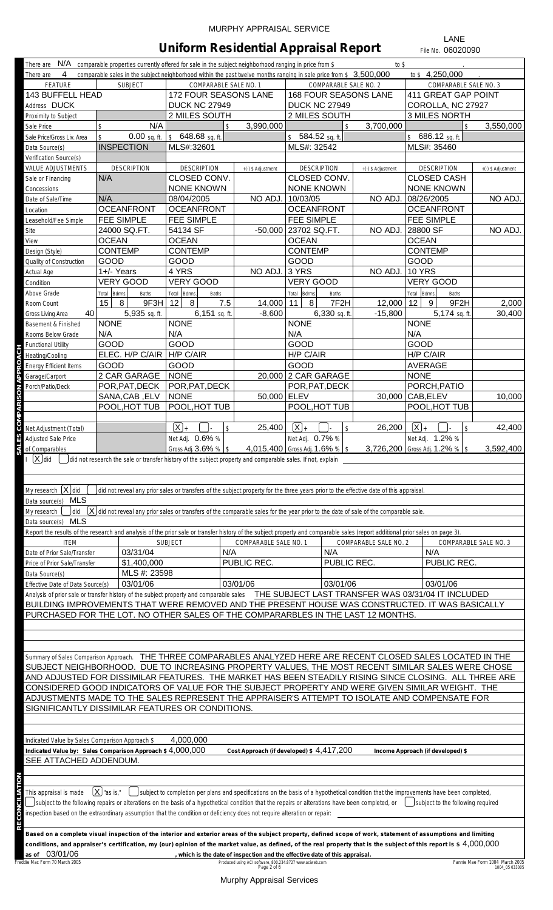### MURPHY APPRAISAL SERVICE

## Uniform Residential Appraisal Report File No. 06020090

LANE

|                                  | There are N/A comparable properties currently offered for sale in the subject neighborhood ranging in price from \$                                                                   |                |                    |                                           |                                                                                                                                                            |                       |                    | to \$                          |                                   |                                   |                                 |  |
|----------------------------------|---------------------------------------------------------------------------------------------------------------------------------------------------------------------------------------|----------------|--------------------|-------------------------------------------|------------------------------------------------------------------------------------------------------------------------------------------------------------|-----------------------|--------------------|--------------------------------|-----------------------------------|-----------------------------------|---------------------------------|--|
|                                  | There are<br>4                                                                                                                                                                        |                |                    |                                           | comparable sales in the subject neighborhood within the past twelve months ranging in sale price from \$ 3,500,000                                         |                       |                    |                                | to \$4,250,000                    |                                   |                                 |  |
|                                  | <b>FEATURE</b>                                                                                                                                                                        |                | <b>SUBJECT</b>     |                                           | COMPARABLE SALE NO. 1                                                                                                                                      | COMPARABLE SALE NO. 2 |                    |                                |                                   | COMPARABLE SALE NO. 3             |                                 |  |
|                                  | 143 BUFFELL HEAD                                                                                                                                                                      |                |                    | 172 FOUR SEASONS LANE                     | 168 FOUR SEASONS LANE                                                                                                                                      |                       |                    | 411 GREAT GAP POINT            |                                   |                                   |                                 |  |
|                                  | Address DUCK                                                                                                                                                                          |                |                    | <b>DUCK NC 27949</b>                      |                                                                                                                                                            | <b>DUCK NC 27949</b>  |                    |                                | COROLLA, NC 27927                 |                                   |                                 |  |
|                                  | Proximity to Subject                                                                                                                                                                  |                |                    | 2 MILES SOUTH                             |                                                                                                                                                            | 2 MILES SOUTH         |                    |                                |                                   | 3 MILES NORTH                     |                                 |  |
|                                  | Sale Price                                                                                                                                                                            | \$             | N/A                |                                           | 3,990,000<br>$\mathbf{\hat{S}}$                                                                                                                            |                       | \$                 | 3,700,000                      |                                   | $\mathbf{\hat{S}}$                | 3,550,000                       |  |
|                                  | Sale Price/Gross Liv. Area                                                                                                                                                            | $\mathsf{\$}$  |                    | 0.00 sq. ft. $\frac{1}{3}$ 648.68 sq. ft. |                                                                                                                                                            | \$ 584.52 sq. ft.     |                    |                                | 686.12 sq. ft.<br>\$              |                                   |                                 |  |
|                                  | Data Source(s)                                                                                                                                                                        |                | <b>INSPECTION</b>  | MLS#:32601                                |                                                                                                                                                            | MLS#: 32542           |                    |                                | MLS#: 35460                       |                                   |                                 |  |
|                                  | Verification Source(s)                                                                                                                                                                |                |                    |                                           |                                                                                                                                                            |                       |                    |                                |                                   |                                   |                                 |  |
|                                  | VALUE ADJUSTMENTS                                                                                                                                                                     |                | <b>DESCRIPTION</b> | <b>DESCRIPTION</b>                        | +(-) \$ Adjustment                                                                                                                                         | <b>DESCRIPTION</b>    |                    | +(-) \$ Adjustment             |                                   | <b>DESCRIPTION</b>                | +(-) \$ Adjustment              |  |
|                                  | Sale or Financing                                                                                                                                                                     | N/A            |                    | CLOSED CONV.                              |                                                                                                                                                            | CLOSED CONV.          |                    |                                | <b>CLOSED CASH</b>                |                                   |                                 |  |
|                                  | Concessions                                                                                                                                                                           |                |                    | <b>NONE KNOWN</b>                         |                                                                                                                                                            | <b>NONE KNOWN</b>     |                    |                                | <b>NONE KNOWN</b>                 |                                   |                                 |  |
|                                  | Date of Sale/Time                                                                                                                                                                     | N/A            |                    | 08/04/2005                                | NO ADJ.                                                                                                                                                    | 10/03/05              |                    | NO ADJ.                        | 08/26/2005                        |                                   | NO ADJ.                         |  |
|                                  | Location                                                                                                                                                                              |                | <b>OCEANFRONT</b>  | <b>OCEANFRONT</b>                         |                                                                                                                                                            | <b>OCEANFRONT</b>     |                    |                                | <b>OCEANFRONT</b>                 |                                   |                                 |  |
|                                  | Leasehold/Fee Simple                                                                                                                                                                  |                | <b>FEE SIMPLE</b>  | <b>FEE SIMPLE</b>                         |                                                                                                                                                            | FEE SIMPLE            |                    |                                | <b>FEE SIMPLE</b>                 |                                   |                                 |  |
|                                  | Site                                                                                                                                                                                  |                | 24000 SQ.FT.       | 54134 SF                                  |                                                                                                                                                            | -50,000 23702 SQ.FT.  |                    | NO ADJ.                        | 28800 SF                          |                                   | NO ADJ.                         |  |
|                                  | View                                                                                                                                                                                  | <b>OCEAN</b>   |                    | <b>OCEAN</b>                              |                                                                                                                                                            | <b>OCEAN</b>          |                    |                                | <b>OCEAN</b>                      |                                   |                                 |  |
|                                  | Design (Style)                                                                                                                                                                        | <b>CONTEMP</b> |                    | <b>CONTEMP</b>                            |                                                                                                                                                            | <b>CONTEMP</b>        |                    |                                | <b>CONTEMP</b>                    |                                   |                                 |  |
|                                  | Quality of Construction                                                                                                                                                               | GOOD           |                    | GOOD                                      |                                                                                                                                                            | GOOD                  |                    |                                | GOOD                              |                                   |                                 |  |
|                                  | Actual Age                                                                                                                                                                            | 1+/- Years     |                    | 4 YRS                                     | NO ADJ.                                                                                                                                                    | 3 YRS                 |                    | NO ADJ.                        | <b>10 YRS</b>                     |                                   |                                 |  |
|                                  | Condition                                                                                                                                                                             |                | VERY GOOD          | VERY GOOD                                 |                                                                                                                                                            | <b>VERY GOOD</b>      |                    |                                | <b>VERY GOOD</b>                  |                                   |                                 |  |
|                                  | Above Grade                                                                                                                                                                           | Total Bdrms.   | Baths              | Total Bdrms.<br><b>Baths</b>              |                                                                                                                                                            | Total Bdrms.          | Baths              |                                | Total Bdrms.                      | Baths                             |                                 |  |
|                                  | Room Count                                                                                                                                                                            | 15             | 8<br>9F3H          | 12<br>8 <sup>1</sup>                      | 7.5<br>14,000                                                                                                                                              | 8<br>11               | 7F <sub>2</sub> H  | 12,000                         | 12<br>9                           | 9F2H                              | 2,000                           |  |
|                                  | 40<br>Gross Living Area                                                                                                                                                               |                | 5,935 sq. ft.      | 6,151 sq. ft.                             | $-8,600$                                                                                                                                                   |                       | 6,330 sq. ft.      | $-15,800$                      |                                   | 5,174 sq. ft.                     | 30,400                          |  |
|                                  | Basement & Finished                                                                                                                                                                   | <b>NONE</b>    |                    | <b>NONE</b>                               |                                                                                                                                                            | <b>NONE</b>           |                    |                                | <b>NONE</b>                       |                                   |                                 |  |
|                                  | Rooms Below Grade                                                                                                                                                                     | N/A            |                    | N/A                                       |                                                                                                                                                            | N/A                   |                    |                                | N/A                               |                                   |                                 |  |
|                                  | <b>Functional Utility</b>                                                                                                                                                             | GOOD           |                    | GOOD                                      |                                                                                                                                                            | GOOD                  |                    |                                | GOOD                              |                                   |                                 |  |
| <b>SALES COMPARISON APPROACH</b> | Heating/Cooling                                                                                                                                                                       |                | ELEC. H/P C/AIR    | H/P C/AIR                                 |                                                                                                                                                            | H/P C/AIR             |                    |                                | H/P C/AIR                         |                                   |                                 |  |
|                                  | <b>Energy Efficient Items</b>                                                                                                                                                         | GOOD           |                    | GOOD                                      |                                                                                                                                                            | GOOD                  |                    |                                | <b>AVERAGE</b>                    |                                   |                                 |  |
|                                  | Garage/Carport                                                                                                                                                                        |                | 2 CAR GARAGE       | <b>NONE</b>                               |                                                                                                                                                            | 20,000 2 CAR GARAGE   |                    |                                | <b>NONE</b>                       |                                   |                                 |  |
|                                  | Porch/Patio/Deck                                                                                                                                                                      |                | POR, PAT, DECK     | POR, PAT, DECK                            |                                                                                                                                                            | POR, PAT, DECK        |                    |                                | PORCH, PATIO                      |                                   |                                 |  |
|                                  |                                                                                                                                                                                       |                | SANA, CAB, ELV     | <b>NONE</b>                               | 50,000 ELEV                                                                                                                                                |                       |                    |                                | 30,000 CAB, ELEV                  |                                   | 10,000                          |  |
|                                  |                                                                                                                                                                                       |                | POOL, HOT TUB      | POOL, HOT TUB                             |                                                                                                                                                            | POOL, HOT TUB         |                    |                                |                                   | POOL, HOT TUB                     |                                 |  |
|                                  |                                                                                                                                                                                       |                |                    |                                           |                                                                                                                                                            |                       |                    |                                |                                   |                                   |                                 |  |
|                                  | Net Adjustment (Total)                                                                                                                                                                |                |                    | $[X]_{+}$                                 | 25,400<br>$\mathsf{\$}$                                                                                                                                    | $[\overline{X}]_+$    | $\mathbf{\hat{S}}$ | 26,200                         | $\overline{X}$ +                  | $\mathbb{S}$                      | 42,400                          |  |
|                                  | <b>Adiusted Sale Price</b>                                                                                                                                                            |                |                    | Net Adj. 0.6% %                           |                                                                                                                                                            | Net Adj. 0.7% %       |                    |                                | Net Adj. 1.2% %                   |                                   |                                 |  |
|                                  | of Comparables                                                                                                                                                                        |                |                    | Gross Adj. $3.6\% \%$   \$                | 4,015,400 Gross Adj. 1.6% % \$                                                                                                                             |                       |                    | 3,726,200 Gross Adj. 1.2% % \$ |                                   |                                   | 3,592,400                       |  |
|                                  |                                                                                                                                                                                       |                |                    |                                           |                                                                                                                                                            |                       |                    |                                |                                   |                                   |                                 |  |
|                                  | $\boxed{\mathsf{X}}$ did                                                                                                                                                              |                |                    |                                           | did not research the sale or transfer history of the subject property and comparable sales. If not, explain                                                |                       |                    |                                |                                   |                                   |                                 |  |
|                                  |                                                                                                                                                                                       |                |                    |                                           |                                                                                                                                                            |                       |                    |                                |                                   |                                   |                                 |  |
|                                  |                                                                                                                                                                                       |                |                    |                                           |                                                                                                                                                            |                       |                    |                                |                                   |                                   |                                 |  |
|                                  | My research $\lfloor x \rfloor$ did                                                                                                                                                   |                |                    |                                           | did not reveal any prior sales or transfers of the subject property for the three years prior to the effective date of this appraisal                      |                       |                    |                                |                                   |                                   |                                 |  |
|                                  | Data source(s) MLS                                                                                                                                                                    |                |                    |                                           |                                                                                                                                                            |                       |                    |                                |                                   |                                   |                                 |  |
|                                  | My research                                                                                                                                                                           |                |                    |                                           | $ \text{did} \text{X} $ did not reveal any prior sales or transfers of the comparable sales for the year prior to the date of sale of the comparable sale. |                       |                    |                                |                                   |                                   |                                 |  |
|                                  | Data source(s) MLS                                                                                                                                                                    |                |                    |                                           |                                                                                                                                                            |                       |                    |                                |                                   |                                   |                                 |  |
|                                  | Report the results of the research and analysis of the prior sale or transfer history of the subject property and comparable sales (report additional prior sales on page 3).<br>ITEM |                |                    | <b>SUBJECT</b>                            | COMPARABLE SALE NO. 1                                                                                                                                      |                       |                    | COMPARABLE SALE NO. 2          |                                   |                                   | COMPARABLE SALE NO. 3           |  |
|                                  | Date of Prior Sale/Transfer                                                                                                                                                           |                | 03/31/04           |                                           | N/A                                                                                                                                                        |                       | N/A                |                                | N/A                               |                                   |                                 |  |
|                                  | Price of Prior Sale/Transfer                                                                                                                                                          |                | \$1,400,000        |                                           | PUBLIC REC.                                                                                                                                                |                       | PUBLIC REC.        |                                |                                   | PUBLIC REC.                       |                                 |  |
|                                  | Data Source(s)                                                                                                                                                                        |                | MLS #: 23598       |                                           |                                                                                                                                                            |                       |                    |                                |                                   |                                   |                                 |  |
|                                  | Effective Date of Data Source(s)                                                                                                                                                      |                | 03/01/06           |                                           | 03/01/06                                                                                                                                                   |                       | 03/01/06           |                                |                                   | 03/01/06                          |                                 |  |
|                                  | Analysis of prior sale or transfer history of the subject property and comparable sales THE SUBJECT LAST TRANSFER WAS 03/31/04 IT INCLUDED                                            |                |                    |                                           |                                                                                                                                                            |                       |                    |                                |                                   |                                   |                                 |  |
|                                  | BUILDING IMPROVEMENTS THAT WERE REMOVED AND THE PRESENT HOUSE WAS CONSTRUCTED. IT WAS BASICALLY                                                                                       |                |                    |                                           |                                                                                                                                                            |                       |                    |                                |                                   |                                   |                                 |  |
|                                  | PURCHASED FOR THE LOT. NO OTHER SALES OF THE COMPARARBLES IN THE LAST 12 MONTHS.                                                                                                      |                |                    |                                           |                                                                                                                                                            |                       |                    |                                |                                   |                                   |                                 |  |
|                                  |                                                                                                                                                                                       |                |                    |                                           |                                                                                                                                                            |                       |                    |                                |                                   |                                   |                                 |  |
|                                  |                                                                                                                                                                                       |                |                    |                                           |                                                                                                                                                            |                       |                    |                                |                                   |                                   |                                 |  |
|                                  |                                                                                                                                                                                       |                |                    |                                           |                                                                                                                                                            |                       |                    |                                |                                   |                                   |                                 |  |
|                                  | Summary of Sales Comparison Approach. THE THREE COMPARABLES ANALYZED HERE ARE RECENT CLOSED SALES LOCATED IN THE                                                                      |                |                    |                                           |                                                                                                                                                            |                       |                    |                                |                                   |                                   |                                 |  |
|                                  | SUBJECT NEIGHBORHOOD. DUE TO INCREASING PROPERTY VALUES, THE MOST RECENT SIMILAR SALES WERE CHOSE                                                                                     |                |                    |                                           |                                                                                                                                                            |                       |                    |                                |                                   |                                   |                                 |  |
|                                  | AND ADJUSTED FOR DISSIMILAR FEATURES. THE MARKET HAS BEEN STEADILY RISING SINCE CLOSING. ALL THREE ARE                                                                                |                |                    |                                           |                                                                                                                                                            |                       |                    |                                |                                   |                                   |                                 |  |
|                                  | CONSIDERED GOOD INDICATORS OF VALUE FOR THE SUBJECT PROPERTY AND WERE GIVEN SIMILAR WEIGHT. THE                                                                                       |                |                    |                                           |                                                                                                                                                            |                       |                    |                                |                                   |                                   |                                 |  |
|                                  | ADJUSTMENTS MADE TO THE SALES REPRESENT THE APPRAISER'S ATTEMPT TO ISOLATE AND COMPENSATE FOR                                                                                         |                |                    |                                           |                                                                                                                                                            |                       |                    |                                |                                   |                                   |                                 |  |
|                                  | SIGNIFICANTLY DISSIMILAR FEATURES OR CONDITIONS.                                                                                                                                      |                |                    |                                           |                                                                                                                                                            |                       |                    |                                |                                   |                                   |                                 |  |
|                                  |                                                                                                                                                                                       |                |                    |                                           |                                                                                                                                                            |                       |                    |                                |                                   |                                   |                                 |  |
|                                  | Indicated Value by Sales Comparison Approach \$                                                                                                                                       |                |                    | 4,000,000                                 |                                                                                                                                                            |                       |                    |                                |                                   |                                   |                                 |  |
|                                  | Indicated Value by: Sales Comparison Approach \$4,000,000                                                                                                                             |                |                    |                                           | Cost Approach (if developed) \$4,417,200                                                                                                                   |                       |                    |                                | Income Approach (if developed) \$ |                                   |                                 |  |
|                                  | SEE ATTACHED ADDENDUM.                                                                                                                                                                |                |                    |                                           |                                                                                                                                                            |                       |                    |                                |                                   |                                   |                                 |  |
|                                  |                                                                                                                                                                                       |                |                    |                                           |                                                                                                                                                            |                       |                    |                                |                                   |                                   |                                 |  |
|                                  |                                                                                                                                                                                       |                |                    |                                           |                                                                                                                                                            |                       |                    |                                |                                   |                                   |                                 |  |
|                                  | This appraisal is made                                                                                                                                                                | $X$ "as is,"   |                    |                                           | subject to completion per plans and specifications on the basis of a hypothetical condition that the improvements have been completed,                     |                       |                    |                                |                                   |                                   |                                 |  |
|                                  | Subject to the following repairs or alterations on the basis of a hypothetical condition that the repairs or alterations have been completed, or                                      |                |                    |                                           |                                                                                                                                                            |                       |                    |                                |                                   | subject to the following required |                                 |  |
|                                  | inspection based on the extraordinary assumption that the condition or deficiency does not require alteration or repair:                                                              |                |                    |                                           |                                                                                                                                                            |                       |                    |                                |                                   |                                   |                                 |  |
| <b>RECONCILIATION</b>            | Based on a complete visual inspection of the interior and exterior areas of the subject property, defined scope of work, statement of assumptions and limiting                        |                |                    |                                           |                                                                                                                                                            |                       |                    |                                |                                   |                                   |                                 |  |
|                                  | conditions, and appraiser's certification, my (our) opinion of the market value, as defined, of the real property that is the subject of this report is \$ 4,000,000                  |                |                    |                                           |                                                                                                                                                            |                       |                    |                                |                                   |                                   |                                 |  |
|                                  | as of $03/01/06$<br>Freddie Mac Form 70 March 2005                                                                                                                                    |                |                    |                                           | , which is the date of inspection and the effective date of this appraisal.<br>Produced using ACI software, 800.234.8727 www.aciweb.com                    |                       |                    |                                |                                   |                                   | Fannie Mae Form 1004 March 2005 |  |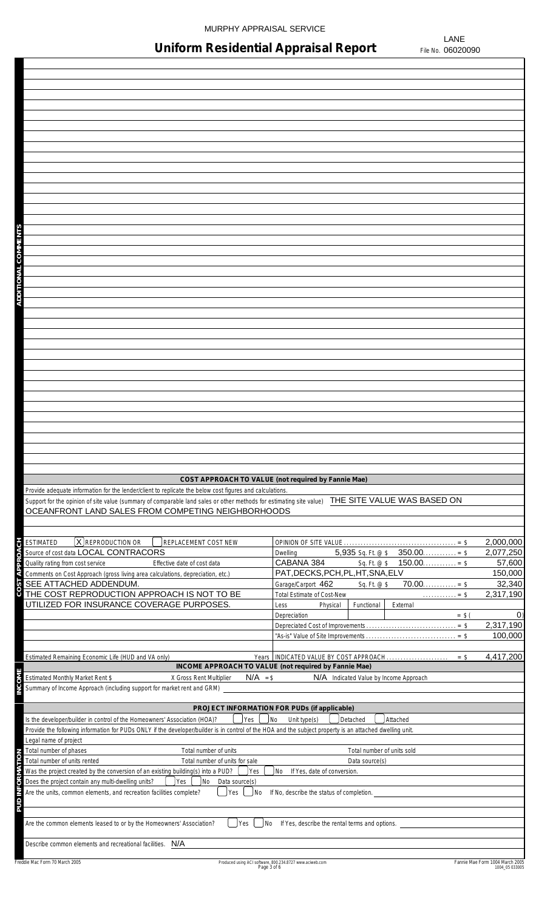| <b>ADDITIONAL COMMENTS</b>                                                                                                                               |                                                                                      |
|----------------------------------------------------------------------------------------------------------------------------------------------------------|--------------------------------------------------------------------------------------|
|                                                                                                                                                          |                                                                                      |
|                                                                                                                                                          |                                                                                      |
|                                                                                                                                                          |                                                                                      |
|                                                                                                                                                          |                                                                                      |
|                                                                                                                                                          |                                                                                      |
|                                                                                                                                                          |                                                                                      |
|                                                                                                                                                          |                                                                                      |
|                                                                                                                                                          |                                                                                      |
|                                                                                                                                                          |                                                                                      |
|                                                                                                                                                          |                                                                                      |
|                                                                                                                                                          |                                                                                      |
|                                                                                                                                                          |                                                                                      |
|                                                                                                                                                          |                                                                                      |
|                                                                                                                                                          |                                                                                      |
|                                                                                                                                                          |                                                                                      |
|                                                                                                                                                          |                                                                                      |
|                                                                                                                                                          |                                                                                      |
|                                                                                                                                                          |                                                                                      |
|                                                                                                                                                          |                                                                                      |
|                                                                                                                                                          | COST APPROACH TO VALUE (not required by Fannie Mae)                                  |
| Provide adequate information for the lender/client to replicate the below cost figures and calculations.                                                 |                                                                                      |
| Support for the opinion of site value (summary of comparable land sales or other methods for estimating site value) THE SITE VALUE WAS BASED ON          |                                                                                      |
| OCEANFRONT LAND SALES FROM COMPETING NEIGHBORHOODS                                                                                                       |                                                                                      |
|                                                                                                                                                          |                                                                                      |
|                                                                                                                                                          |                                                                                      |
| $ X $ REPRODUCTION OR<br><b>ESTIMATED</b><br>REPLACEMENT COST NEW<br>Source of cost data LOCAL CONTRACORS                                                | 2,000,000<br>2,077,250<br>5,935 Sq. Ft. @ \$<br>Dwelling                             |
| Quality rating from cost service<br>Effective date of cost data                                                                                          | CABANA 384<br>$150.00$ = \$<br>57,600<br>Sq. Ft. @\$                                 |
| Comments on Cost Approach (gross living area calculations, depreciation, etc.)                                                                           | PAT, DECKS, PCH, PL, HT, SNA, ELV<br>150,000                                         |
| SEE ATTACHED ADDENDUM.                                                                                                                                   | $70.00$ = \$<br>32,340<br>Garage/Carport 462<br>Sq. Ft. @ \$                         |
| COST APPROACH<br>THE COST REPRODUCTION APPROACH IS NOT TO BE                                                                                             | 2,317,190<br><b>Total Estimate of Cost-New</b><br>$\ldots \ldots \ldots \ldots =$ \$ |
| UTILIZED FOR INSURANCE COVERAGE PURPOSES.                                                                                                                | Functional<br>External<br>Less<br>Physical                                           |
|                                                                                                                                                          | Depreciation<br>$\Omega$<br>$=$ \$ (                                                 |
|                                                                                                                                                          | 2,317,190                                                                            |
|                                                                                                                                                          | 100,000                                                                              |
| Estimated Remaining Economic Life (HUD and VA only)                                                                                                      | 4,417,200<br>$=$ \$                                                                  |
|                                                                                                                                                          | INCOME APPROACH TO VALUE (not required by Fannie Mae)                                |
| ш<br>$N/A =$<br>Estimated Monthly Market Rent \$<br>X Gross Rent Multiplier                                                                              | N/A Indicated Value by Income Approach                                               |
| <b>NCOM</b><br>Summary of Income Approach (including support for market rent and GRM)                                                                    |                                                                                      |
|                                                                                                                                                          |                                                                                      |
|                                                                                                                                                          | PROJECT INFORMATION FOR PUDs (if applicable)                                         |
| Yes<br>Is the developer/builder in control of the Homeowners' Association (HOA)?                                                                         | $\overline{\phantom{a}}$ No<br>Unit type(s)<br>Detached<br>Attached                  |
| Provide the following information for PUDs ONLY if the developer/builder is in control of the HOA and the subject property is an attached dwelling unit. |                                                                                      |
| Legal name of project<br>Total number of phases<br>Total number of units                                                                                 | Total number of units sold                                                           |
| Total number of units for sale<br>Total number of units rented                                                                                           | Data source(s)                                                                       |
| Was the project created by the conversion of an existing building(s) into a PUD?<br><b>Yes</b>                                                           | No If Yes, date of conversion.                                                       |
| $\forall$ es $\Box$ No Data source(s)<br>Does the project contain any multi-dwelling units?                                                              |                                                                                      |
| Are the units, common elements, and recreation facilities complete?<br>Yes Mo                                                                            | If No, describe the status of completion.                                            |
| PUD INFORMATION                                                                                                                                          |                                                                                      |
|                                                                                                                                                          |                                                                                      |
| Are the common elements leased to or by the Homeowners' Association?<br>Yes                                                                              | If Yes, describe the rental terms and options.<br>l No                               |
|                                                                                                                                                          |                                                                                      |
| Describe common elements and recreational facilities. N/A                                                                                                |                                                                                      |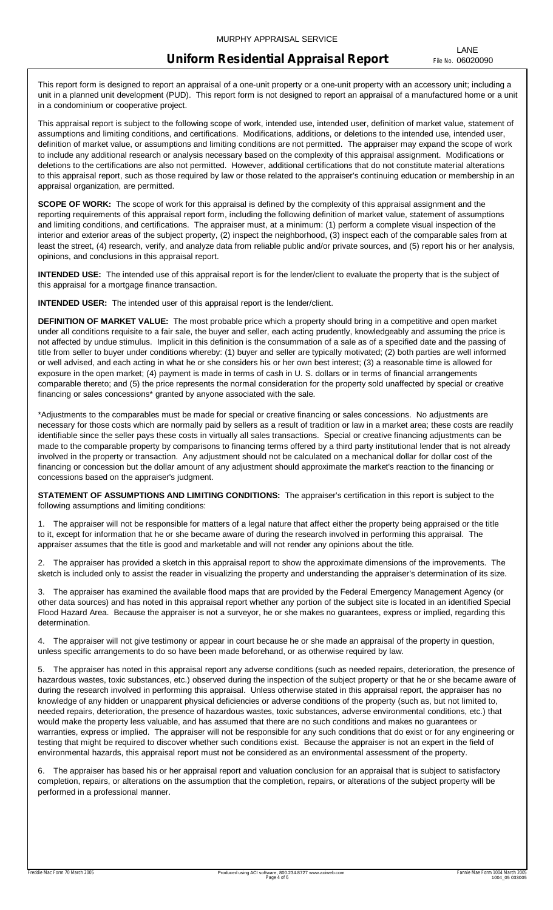This report form is designed to report an appraisal of a one-unit property or a one-unit property with an accessory unit; including a unit in a planned unit development (PUD). This report form is not designed to report an appraisal of a manufactured home or a unit in a condominium or cooperative project.

This appraisal report is subject to the following scope of work, intended use, intended user, definition of market value, statement of assumptions and limiting conditions, and certifications. Modifications, additions, or deletions to the intended use, intended user, definition of market value, or assumptions and limiting conditions are not permitted. The appraiser may expand the scope of work to include any additional research or analysis necessary based on the complexity of this appraisal assignment. Modifications or deletions to the certifications are also not permitted. However, additional certifications that do not constitute material alterations to this appraisal report, such as those required by law or those related to the appraiser's continuing education or membership in an appraisal organization, are permitted.

**SCOPE OF WORK:** The scope of work for this appraisal is defined by the complexity of this appraisal assignment and the reporting requirements of this appraisal report form, including the following definition of market value, statement of assumptions and limiting conditions, and certifications. The appraiser must, at a minimum: (1) perform a complete visual inspection of the interior and exterior areas of the subject property, (2) inspect the neighborhood, (3) inspect each of the comparable sales from at least the street, (4) research, verify, and analyze data from reliable public and/or private sources, and (5) report his or her analysis, opinions, and conclusions in this appraisal report.

**INTENDED USE:** The intended use of this appraisal report is for the lender/client to evaluate the property that is the subject of this appraisal for a mortgage finance transaction.

**INTENDED USER:** The intended user of this appraisal report is the lender/client.

**DEFINITION OF MARKET VALUE:** The most probable price which a property should bring in a competitive and open market under all conditions requisite to a fair sale, the buyer and seller, each acting prudently, knowledgeably and assuming the price is not affected by undue stimulus. Implicit in this definition is the consummation of a sale as of a specified date and the passing of title from seller to buyer under conditions whereby: (1) buyer and seller are typically motivated; (2) both parties are well informed or well advised, and each acting in what he or she considers his or her own best interest; (3) a reasonable time is allowed for exposure in the open market; (4) payment is made in terms of cash in U. S. dollars or in terms of financial arrangements comparable thereto; and (5) the price represents the normal consideration for the property sold unaffected by special or creative financing or sales concessions\* granted by anyone associated with the sale.

\*Adjustments to the comparables must be made for special or creative financing or sales concessions. No adjustments are necessary for those costs which are normally paid by sellers as a result of tradition or law in a market area; these costs are readily identifiable since the seller pays these costs in virtually all sales transactions. Special or creative financing adjustments can be made to the comparable property by comparisons to financing terms offered by a third party institutional lender that is not already involved in the property or transaction. Any adjustment should not be calculated on a mechanical dollar for dollar cost of the financing or concession but the dollar amount of any adjustment should approximate the market's reaction to the financing or concessions based on the appraiser's judgment.

**STATEMENT OF ASSUMPTIONS AND LIMITING CONDITIONS:** The appraiser's certification in this report is subject to the following assumptions and limiting conditions:

1. The appraiser will not be responsible for matters of a legal nature that affect either the property being appraised or the title to it, except for information that he or she became aware of during the research involved in performing this appraisal. The appraiser assumes that the title is good and marketable and will not render any opinions about the title.

2. The appraiser has provided a sketch in this appraisal report to show the approximate dimensions of the improvements. The sketch is included only to assist the reader in visualizing the property and understanding the appraiser's determination of its size.

3. The appraiser has examined the available flood maps that are provided by the Federal Emergency Management Agency (or other data sources) and has noted in this appraisal report whether any portion of the subject site is located in an identified Special Flood Hazard Area. Because the appraiser is not a surveyor, he or she makes no guarantees, express or implied, regarding this determination.

4. The appraiser will not give testimony or appear in court because he or she made an appraisal of the property in question, unless specific arrangements to do so have been made beforehand, or as otherwise required by law.

5. The appraiser has noted in this appraisal report any adverse conditions (such as needed repairs, deterioration, the presence of hazardous wastes, toxic substances, etc.) observed during the inspection of the subject property or that he or she became aware of during the research involved in performing this appraisal. Unless otherwise stated in this appraisal report, the appraiser has no knowledge of any hidden or unapparent physical deficiencies or adverse conditions of the property (such as, but not limited to, needed repairs, deterioration, the presence of hazardous wastes, toxic substances, adverse environmental conditions, etc.) that would make the property less valuable, and has assumed that there are no such conditions and makes no guarantees or warranties, express or implied. The appraiser will not be responsible for any such conditions that do exist or for any engineering or testing that might be required to discover whether such conditions exist. Because the appraiser is not an expert in the field of environmental hazards, this appraisal report must not be considered as an environmental assessment of the property.

6. The appraiser has based his or her appraisal report and valuation conclusion for an appraisal that is subject to satisfactory completion, repairs, or alterations on the assumption that the completion, repairs, or alterations of the subject property will be performed in a professional manner.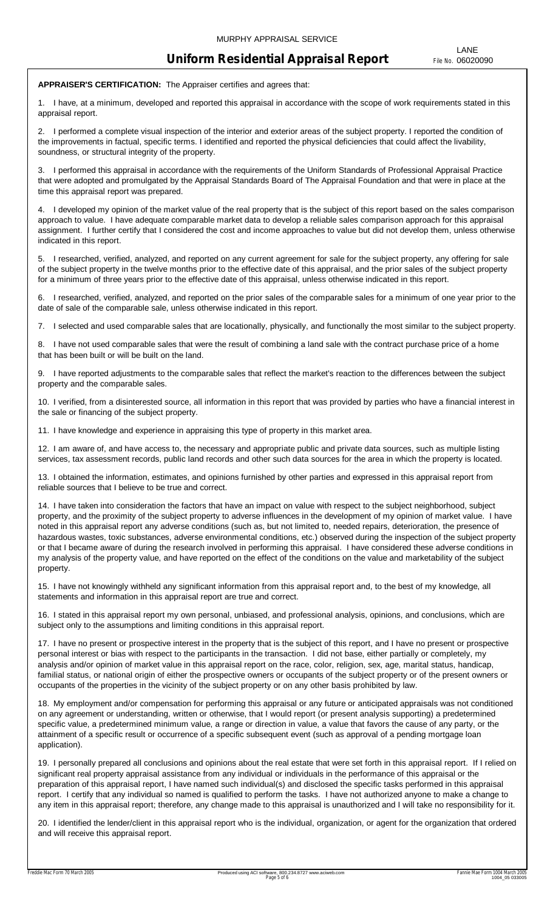### **APPRAISER'S CERTIFICATION:** The Appraiser certifies and agrees that:

1. I have, at a minimum, developed and reported this appraisal in accordance with the scope of work requirements stated in this appraisal report.

2. I performed a complete visual inspection of the interior and exterior areas of the subject property. I reported the condition of the improvements in factual, specific terms. I identified and reported the physical deficiencies that could affect the livability, soundness, or structural integrity of the property.

3. I performed this appraisal in accordance with the requirements of the Uniform Standards of Professional Appraisal Practice that were adopted and promulgated by the Appraisal Standards Board of The Appraisal Foundation and that were in place at the time this appraisal report was prepared.

4. I developed my opinion of the market value of the real property that is the subject of this report based on the sales comparison approach to value. I have adequate comparable market data to develop a reliable sales comparison approach for this appraisal assignment. I further certify that I considered the cost and income approaches to value but did not develop them, unless otherwise indicated in this report.

5. I researched, verified, analyzed, and reported on any current agreement for sale for the subject property, any offering for sale of the subject property in the twelve months prior to the effective date of this appraisal, and the prior sales of the subject property for a minimum of three years prior to the effective date of this appraisal, unless otherwise indicated in this report.

6. I researched, verified, analyzed, and reported on the prior sales of the comparable sales for a minimum of one year prior to the date of sale of the comparable sale, unless otherwise indicated in this report.

7. I selected and used comparable sales that are locationally, physically, and functionally the most similar to the subject property.

8. I have not used comparable sales that were the result of combining a land sale with the contract purchase price of a home that has been built or will be built on the land.

I have reported adjustments to the comparable sales that reflect the market's reaction to the differences between the subject property and the comparable sales.

10. I verified, from a disinterested source, all information in this report that was provided by parties who have a financial interest in the sale or financing of the subject property.

11. I have knowledge and experience in appraising this type of property in this market area.

12. I am aware of, and have access to, the necessary and appropriate public and private data sources, such as multiple listing services, tax assessment records, public land records and other such data sources for the area in which the property is located.

13. I obtained the information, estimates, and opinions furnished by other parties and expressed in this appraisal report from reliable sources that I believe to be true and correct.

14. I have taken into consideration the factors that have an impact on value with respect to the subject neighborhood, subject property, and the proximity of the subject property to adverse influences in the development of my opinion of market value. I have noted in this appraisal report any adverse conditions (such as, but not limited to, needed repairs, deterioration, the presence of hazardous wastes, toxic substances, adverse environmental conditions, etc.) observed during the inspection of the subject property or that I became aware of during the research involved in performing this appraisal. I have considered these adverse conditions in my analysis of the property value, and have reported on the effect of the conditions on the value and marketability of the subject property.

15. I have not knowingly withheld any significant information from this appraisal report and, to the best of my knowledge, all statements and information in this appraisal report are true and correct.

16. I stated in this appraisal report my own personal, unbiased, and professional analysis, opinions, and conclusions, which are subject only to the assumptions and limiting conditions in this appraisal report.

17. I have no present or prospective interest in the property that is the subject of this report, and I have no present or prospective personal interest or bias with respect to the participants in the transaction. I did not base, either partially or completely, my analysis and/or opinion of market value in this appraisal report on the race, color, religion, sex, age, marital status, handicap, familial status, or national origin of either the prospective owners or occupants of the subject property or of the present owners or occupants of the properties in the vicinity of the subject property or on any other basis prohibited by law.

18. My employment and/or compensation for performing this appraisal or any future or anticipated appraisals was not conditioned on any agreement or understanding, written or otherwise, that I would report (or present analysis supporting) a predetermined specific value, a predetermined minimum value, a range or direction in value, a value that favors the cause of any party, or the attainment of a specific result or occurrence of a specific subsequent event (such as approval of a pending mortgage loan application).

19. I personally prepared all conclusions and opinions about the real estate that were set forth in this appraisal report. If I relied on significant real property appraisal assistance from any individual or individuals in the performance of this appraisal or the preparation of this appraisal report, I have named such individual(s) and disclosed the specific tasks performed in this appraisal report. I certify that any individual so named is qualified to perform the tasks. I have not authorized anyone to make a change to any item in this appraisal report; therefore, any change made to this appraisal is unauthorized and I will take no responsibility for it.

20. I identified the lender/client in this appraisal report who is the individual, organization, or agent for the organization that ordered and will receive this appraisal report.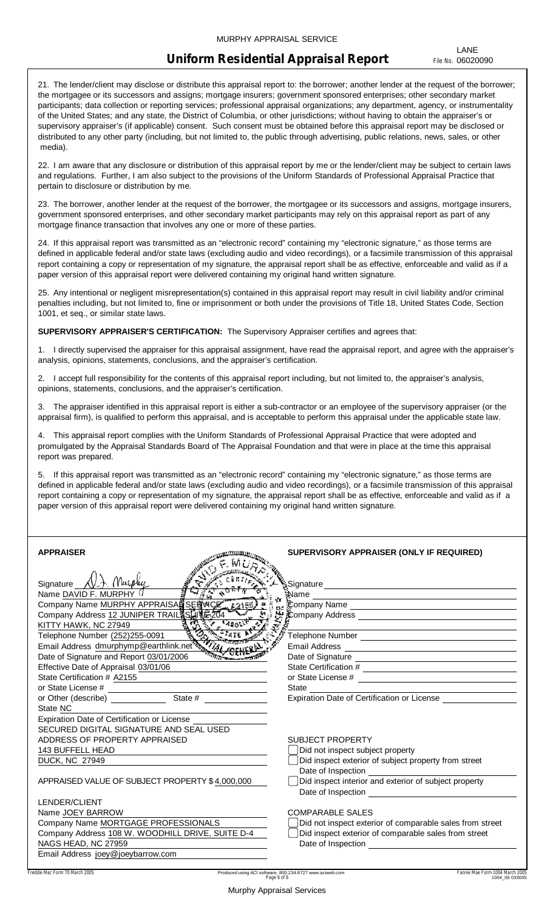File No. 06020090 LANE

21. The lender/client may disclose or distribute this appraisal report to: the borrower; another lender at the request of the borrower; the mortgagee or its successors and assigns; mortgage insurers; government sponsored enterprises; other secondary market participants; data collection or reporting services; professional appraisal organizations; any department, agency, or instrumentality of the United States; and any state, the District of Columbia, or other jurisdictions; without having to obtain the appraiser's or supervisory appraiser's (if applicable) consent. Such consent must be obtained before this appraisal report may be disclosed or distributed to any other party (including, but not limited to, the public through advertising, public relations, news, sales, or other media).

22. I am aware that any disclosure or distribution of this appraisal report by me or the lender/client may be subject to certain laws and regulations. Further, I am also subject to the provisions of the Uniform Standards of Professional Appraisal Practice that pertain to disclosure or distribution by me.

23. The borrower, another lender at the request of the borrower, the mortgagee or its successors and assigns, mortgage insurers, government sponsored enterprises, and other secondary market participants may rely on this appraisal report as part of any mortgage finance transaction that involves any one or more of these parties.

24. If this appraisal report was transmitted as an "electronic record" containing my "electronic signature," as those terms are defined in applicable federal and/or state laws (excluding audio and video recordings), or a facsimile transmission of this appraisal report containing a copy or representation of my signature, the appraisal report shall be as effective, enforceable and valid as if a paper version of this appraisal report were delivered containing my original hand written signature.

25. Any intentional or negligent misrepresentation(s) contained in this appraisal report may result in civil liability and/or criminal penalties including, but not limited to, fine or imprisonment or both under the provisions of Title 18, United States Code, Section 1001, et seq., or similar state laws.

**SUPERVISORY APPRAISER'S CERTIFICATION:** The Supervisory Appraiser certifies and agrees that:

1. I directly supervised the appraiser for this appraisal assignment, have read the appraisal report, and agree with the appraiser's analysis, opinions, statements, conclusions, and the appraiser's certification.

2. I accept full responsibility for the contents of this appraisal report including, but not limited to, the appraiser's analysis, opinions, statements, conclusions, and the appraiser's certification.

3. The appraiser identified in this appraisal report is either a sub-contractor or an employee of the supervisory appraiser (or the appraisal firm), is qualified to perform this appraisal, and is acceptable to perform this appraisal under the applicable state law.

4. This appraisal report complies with the Uniform Standards of Professional Appraisal Practice that were adopted and promulgated by the Appraisal Standards Board of The Appraisal Foundation and that were in place at the time this appraisal report was prepared.

5. If this appraisal report was transmitted as an "electronic record" containing my "electronic signature," as those terms are defined in applicable federal and/or state laws (excluding audio and video recordings), or a facsimile transmission of this appraisal report containing a copy or representation of my signature, the appraisal report shall be as effective, enforceable and valid as if a paper version of this appraisal report were delivered containing my original hand written signature.

| SUPERVISORY APPRAISER (ONLY IF REQUIRED)                                                                                                                                                                                                                                                    |
|---------------------------------------------------------------------------------------------------------------------------------------------------------------------------------------------------------------------------------------------------------------------------------------------|
| $\mathbb{R}$ Name<br>the control of the control of the control of the control of the control of the control of                                                                                                                                                                              |
| State<br>Expiration Date of Certification or License                                                                                                                                                                                                                                        |
|                                                                                                                                                                                                                                                                                             |
| <b>SUBJECT PROPERTY</b>                                                                                                                                                                                                                                                                     |
| Did not inspect subject property                                                                                                                                                                                                                                                            |
| Did inspect exterior of subject property from street                                                                                                                                                                                                                                        |
| Did inspect interior and exterior of subject property<br>Date of Inspection <b>Example 20</b> Figure 20 Figure 20 Figure 20 Figure 20 Figure 20 Figure 20 Figure 20 Figure 20 Figure 20 Figure 20 Figure 20 Figure 20 Figure 20 Figure 20 Figure 20 Figure 20 Figure 20 Figure 20 Figure 20 |
| <b>COMPARABLE SALES</b>                                                                                                                                                                                                                                                                     |
| Did not inspect exterior of comparable sales from street<br>Did inspect exterior of comparable sales from street<br>Date of Inspection <b>Example 2018</b>                                                                                                                                  |
|                                                                                                                                                                                                                                                                                             |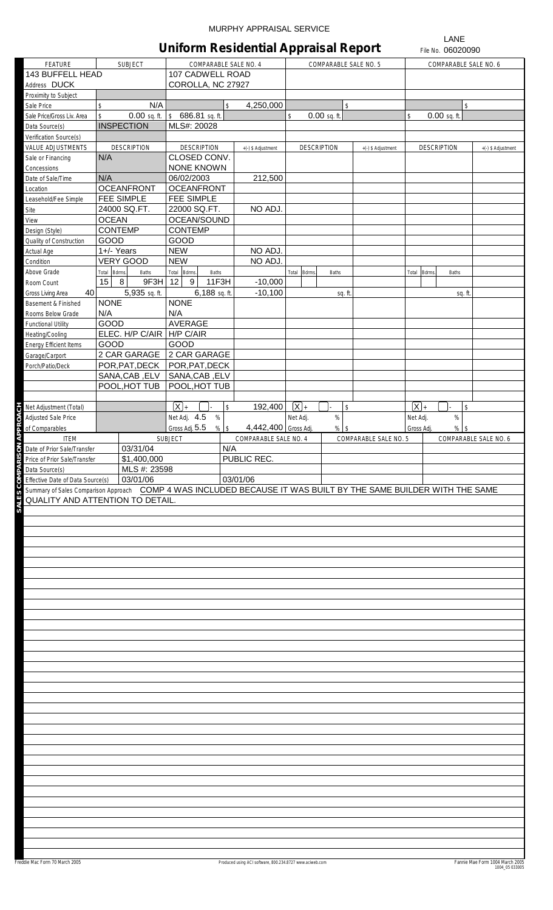### MURPHY APPRAISAL SERVICE

|                                                                                                                                                                       | <b>Uniform Residential Appraisal Report</b> |                                    |                                                          | LANE<br>File No. 06020090      |              |                       |                                |                       |                                                   |
|-----------------------------------------------------------------------------------------------------------------------------------------------------------------------|---------------------------------------------|------------------------------------|----------------------------------------------------------|--------------------------------|--------------|-----------------------|--------------------------------|-----------------------|---------------------------------------------------|
| <b>FEATURE</b>                                                                                                                                                        | <b>SUBJECT</b>                              |                                    | COMPARABLE SALE NO. 4                                    |                                |              | COMPARABLE SALE NO. 5 |                                | COMPARABLE SALE NO. 6 |                                                   |
| 143 BUFFELL HEAD<br>107 CADWELL ROAD<br>COROLLA, NC 27927<br>Address DUCK                                                                                             |                                             |                                    |                                                          |                                |              |                       |                                |                       |                                                   |
| Proximity to Subject                                                                                                                                                  |                                             |                                    |                                                          |                                |              |                       |                                |                       |                                                   |
| Sale Price                                                                                                                                                            | N/A<br>\$                                   |                                    | 4,250,000<br>\$                                          |                                | \$           |                       |                                | $\mathsf{\$}$         |                                                   |
| Sale Price/Gross Liv. Area                                                                                                                                            | $0.00$ sq. ft.<br>$\mathbb S$               | $\frac{1}{3}$ 686.81 sq. ft.       |                                                          | \$                             | 0.00 sq. ft. |                       | \$                             | $0.00$ sq. ft.        |                                                   |
| Data Source(s)                                                                                                                                                        | <b>INSPECTION</b>                           | MLS#: 20028                        |                                                          |                                |              |                       |                                |                       |                                                   |
| Verification Source(s)                                                                                                                                                |                                             |                                    |                                                          |                                |              |                       |                                |                       |                                                   |
| VALUE ADJUSTMENTS                                                                                                                                                     | <b>DESCRIPTION</b>                          | <b>DESCRIPTION</b>                 | +(-) \$ Adjustment                                       | <b>DESCRIPTION</b>             |              | +(-) \$ Adjustment    |                                | <b>DESCRIPTION</b>    | +(-) \$ Adjustment                                |
| Sale or Financing<br>Concessions                                                                                                                                      | N/A                                         | CLOSED CONV.<br><b>NONE KNOWN</b>  |                                                          |                                |              |                       |                                |                       |                                                   |
| Date of Sale/Time                                                                                                                                                     | N/A                                         | 06/02/2003                         | 212,500                                                  |                                |              |                       |                                |                       |                                                   |
| Location                                                                                                                                                              | <b>OCEANFRONT</b>                           | <b>OCEANFRONT</b>                  |                                                          |                                |              |                       |                                |                       |                                                   |
| Leasehold/Fee Simple                                                                                                                                                  | FEE SIMPLE                                  | FEE SIMPLE                         |                                                          |                                |              |                       |                                |                       |                                                   |
| Site                                                                                                                                                                  | 24000 SQ.FT.                                | 22000 SQ.FT.                       | NO ADJ.                                                  |                                |              |                       |                                |                       |                                                   |
| View                                                                                                                                                                  | <b>OCEAN</b>                                | OCEAN/SOUND                        |                                                          |                                |              |                       |                                |                       |                                                   |
| Design (Style)                                                                                                                                                        | CONTEMP<br>GOOD                             | <b>CONTEMP</b><br>GOOD             |                                                          |                                |              |                       |                                |                       |                                                   |
| Quality of Construction<br>Actual Age                                                                                                                                 | 1+/- Years                                  | <b>NEW</b>                         | NO ADJ.                                                  |                                |              |                       |                                |                       |                                                   |
| Condition                                                                                                                                                             | <b>VERY GOOD</b>                            | <b>NEW</b>                         | NO ADJ.                                                  |                                |              |                       |                                |                       |                                                   |
| Above Grade                                                                                                                                                           | Total Bdrms.<br>Baths                       | Total Bdrms.<br><b>Baths</b>       |                                                          | Total Bdrms                    | Baths        |                       | Bdrms<br>Total                 | Baths                 |                                                   |
| Room Count                                                                                                                                                            | 15<br>8<br>9F3H                             | 9<br>12<br>11F3H                   | $-10,000$                                                |                                |              |                       |                                |                       |                                                   |
| 40<br>Gross Living Area                                                                                                                                               | 5,935 sq. ft.                               | 6,188 sq. ft.                      | $-10,100$                                                |                                | sq. ft.      |                       |                                | sq. ft.               |                                                   |
| Basement & Finished                                                                                                                                                   | <b>NONE</b>                                 | <b>NONE</b>                        |                                                          |                                |              |                       |                                |                       |                                                   |
| Rooms Below Grade                                                                                                                                                     | N/A<br>GOOD                                 | N/A                                |                                                          |                                |              |                       |                                |                       |                                                   |
| <b>Functional Utility</b><br>Heating/Cooling                                                                                                                          | ELEC. H/P C/AIR                             | <b>AVERAGE</b><br>H/P C/AIR        |                                                          |                                |              |                       |                                |                       |                                                   |
| Energy Efficient Items                                                                                                                                                | GOOD                                        | GOOD                               |                                                          |                                |              |                       |                                |                       |                                                   |
| Garage/Carport                                                                                                                                                        | 2 CAR GARAGE                                | 2 CAR GARAGE                       |                                                          |                                |              |                       |                                |                       |                                                   |
| Porch/Patio/Deck                                                                                                                                                      | POR, PAT, DECK                              | POR, PAT, DECK                     |                                                          |                                |              |                       |                                |                       |                                                   |
|                                                                                                                                                                       | SANA, CAB, ELV                              | SANA, CAB, ELV                     |                                                          |                                |              |                       |                                |                       |                                                   |
|                                                                                                                                                                       | POOL, HOT TUB                               | POOL, HOT TUB                      |                                                          |                                |              |                       |                                |                       |                                                   |
|                                                                                                                                                                       |                                             | $[\overline{\chi}]_+$              |                                                          |                                |              |                       |                                |                       |                                                   |
| <b>NPPROACH</b><br>Net Adjustment (Total)<br>Adjusted Sale Price                                                                                                      |                                             | Net Adj. 4.5<br>$\%$               | 192,400<br>\$                                            | $[\overline{X}]_+$<br>Net Adj. | \$<br>$\%$   |                       | $[\overline{X}]_+$<br>Net Adj. | \$<br>$\%$            |                                                   |
| of Comparables                                                                                                                                                        |                                             | Gross Adj. $5.5 \times$ \toward \$ | 4,442,400 Gross Adj.                                     |                                | $%  $ \$     |                       | Gross Adj.                     | $%  $ \$              |                                                   |
| <b>ITEM</b>                                                                                                                                                           |                                             | SUBJECT                            | COMPARABLE SALE NO. 4                                    |                                |              | COMPARABLE SALE NO. 5 |                                |                       | COMPARABLE SALE NO. 6                             |
|                                                                                                                                                                       | 03/31/04                                    |                                    | N/A                                                      |                                |              |                       |                                |                       |                                                   |
| TEM<br>Date of Prior Sale/Transfer<br>Price of Prior Sale/Transfer<br>Data Source(s)<br>Effective Date of Data Sourc<br>Summary of Sales Comparis<br>QUALITY AND ATTI | \$1,400,000                                 |                                    | PUBLIC REC.                                              |                                |              |                       |                                |                       |                                                   |
|                                                                                                                                                                       | MLS #: 23598                                |                                    |                                                          |                                |              |                       |                                |                       |                                                   |
| Effective Date of Data Source(s)<br>Summary of Sales Comparison Approach COMP 4 WAS INCLUDED BECAUSE IT WAS BUILT BY THE SAME BUILDER WITH THE SAME                   | 03/01/06                                    |                                    | 03/01/06                                                 |                                |              |                       |                                |                       |                                                   |
| QUALITY AND ATTENTION TO DETAIL.                                                                                                                                      |                                             |                                    |                                                          |                                |              |                       |                                |                       |                                                   |
|                                                                                                                                                                       |                                             |                                    |                                                          |                                |              |                       |                                |                       |                                                   |
|                                                                                                                                                                       |                                             |                                    |                                                          |                                |              |                       |                                |                       |                                                   |
|                                                                                                                                                                       |                                             |                                    |                                                          |                                |              |                       |                                |                       |                                                   |
|                                                                                                                                                                       |                                             |                                    |                                                          |                                |              |                       |                                |                       |                                                   |
|                                                                                                                                                                       |                                             |                                    |                                                          |                                |              |                       |                                |                       |                                                   |
|                                                                                                                                                                       |                                             |                                    |                                                          |                                |              |                       |                                |                       |                                                   |
|                                                                                                                                                                       |                                             |                                    |                                                          |                                |              |                       |                                |                       |                                                   |
|                                                                                                                                                                       |                                             |                                    |                                                          |                                |              |                       |                                |                       |                                                   |
|                                                                                                                                                                       |                                             |                                    |                                                          |                                |              |                       |                                |                       |                                                   |
|                                                                                                                                                                       |                                             |                                    |                                                          |                                |              |                       |                                |                       |                                                   |
|                                                                                                                                                                       |                                             |                                    |                                                          |                                |              |                       |                                |                       |                                                   |
|                                                                                                                                                                       |                                             |                                    |                                                          |                                |              |                       |                                |                       |                                                   |
|                                                                                                                                                                       |                                             |                                    |                                                          |                                |              |                       |                                |                       |                                                   |
|                                                                                                                                                                       |                                             |                                    |                                                          |                                |              |                       |                                |                       |                                                   |
|                                                                                                                                                                       |                                             |                                    |                                                          |                                |              |                       |                                |                       |                                                   |
|                                                                                                                                                                       |                                             |                                    |                                                          |                                |              |                       |                                |                       |                                                   |
|                                                                                                                                                                       |                                             |                                    |                                                          |                                |              |                       |                                |                       |                                                   |
|                                                                                                                                                                       |                                             |                                    |                                                          |                                |              |                       |                                |                       |                                                   |
|                                                                                                                                                                       |                                             |                                    |                                                          |                                |              |                       |                                |                       |                                                   |
|                                                                                                                                                                       |                                             |                                    |                                                          |                                |              |                       |                                |                       |                                                   |
|                                                                                                                                                                       |                                             |                                    |                                                          |                                |              |                       |                                |                       |                                                   |
|                                                                                                                                                                       |                                             |                                    |                                                          |                                |              |                       |                                |                       |                                                   |
|                                                                                                                                                                       |                                             |                                    |                                                          |                                |              |                       |                                |                       |                                                   |
|                                                                                                                                                                       |                                             |                                    |                                                          |                                |              |                       |                                |                       |                                                   |
|                                                                                                                                                                       |                                             |                                    |                                                          |                                |              |                       |                                |                       |                                                   |
|                                                                                                                                                                       |                                             |                                    |                                                          |                                |              |                       |                                |                       |                                                   |
|                                                                                                                                                                       |                                             |                                    |                                                          |                                |              |                       |                                |                       |                                                   |
|                                                                                                                                                                       |                                             |                                    |                                                          |                                |              |                       |                                |                       |                                                   |
|                                                                                                                                                                       |                                             |                                    |                                                          |                                |              |                       |                                |                       |                                                   |
|                                                                                                                                                                       |                                             |                                    |                                                          |                                |              |                       |                                |                       |                                                   |
| Freddie Mac Form 70 March 2005                                                                                                                                        |                                             |                                    | Produced using ACI software, 800.234.8727 www.aciweb.com |                                |              |                       |                                |                       | Fannie Mae Form 1004 March 2005<br>1004 05 033005 |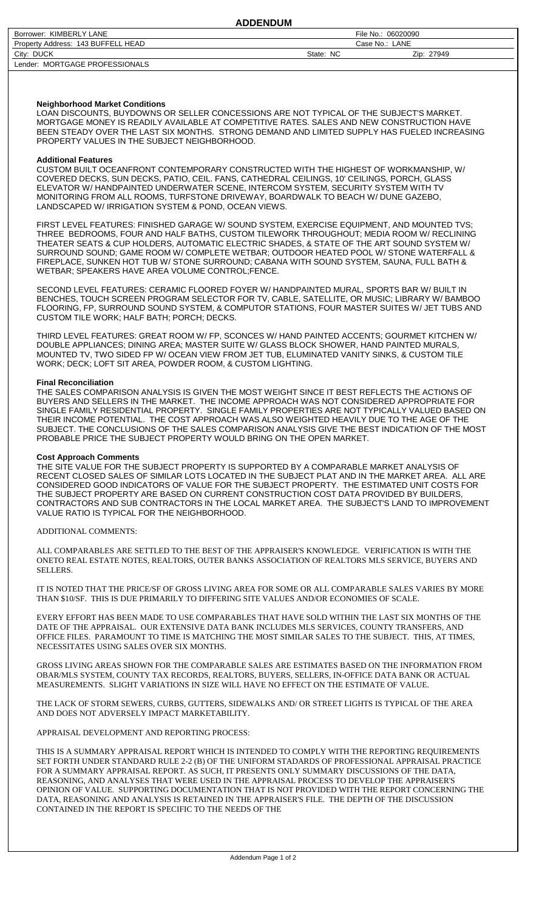|                                    | <b>ADDENDUM</b> |                    |  |
|------------------------------------|-----------------|--------------------|--|
| Borrower: KIMBERLY LANE            |                 | File No.: 06020090 |  |
| Property Address: 143 BUFFELL HEAD |                 | Case No.: LANE     |  |
| City: DUCK                         | State: NC       | Zip: 27949         |  |
| Lender: MORTGAGE PROFESSIONALS     |                 |                    |  |

#### **Neighborhood Market Conditions**

LOAN DISCOUNTS, BUYDOWNS OR SELLER CONCESSIONS ARE NOT TYPICAL OF THE SUBJECT'S MARKET. MORTGAGE MONEY IS READILY AVAILABLE AT COMPETITIVE RATES. SALES AND NEW CONSTRUCTION HAVE BEEN STEADY OVER THE LAST SIX MONTHS. STRONG DEMAND AND LIMITED SUPPLY HAS FUELED INCREASING PROPERTY VALUES IN THE SUBJECT NEIGHBORHOOD.

#### **Additional Features**

CUSTOM BUILT OCEANFRONT CONTEMPORARY CONSTRUCTED WITH THE HIGHEST OF WORKMANSHIP, W/ COVERED DECKS, SUN DECKS, PATIO, CEIL. FANS, CATHEDRAL CEILINGS, 10' CEILINGS, PORCH, GLASS ELEVATOR W/ HANDPAINTED UNDERWATER SCENE, INTERCOM SYSTEM, SECURITY SYSTEM WITH TV MONITORING FROM ALL ROOMS, TURFSTONE DRIVEWAY, BOARDWALK TO BEACH W/ DUNE GAZEBO, LANDSCAPED W/ IRRIGATION SYSTEM & POND, OCEAN VIEWS.

FIRST LEVEL FEATURES: FINISHED GARAGE W/ SOUND SYSTEM, EXERCISE EQUIPMENT, AND MOUNTED TVS; THREE BEDROOMS, FOUR AND HALF BATHS, CUSTOM TILEWORK THROUGHOUT; MEDIA ROOM W/ RECLINING THEATER SEATS & CUP HOLDERS, AUTOMATIC ELECTRIC SHADES, & STATE OF THE ART SOUND SYSTEM W/ SURROUND SOUND; GAME ROOM W/ COMPLETE WETBAR; OUTDOOR HEATED POOL W/ STONE WATERFALL & FIREPLACE, SUNKEN HOT TUB W/ STONE SURROUND; CABANA WITH SOUND SYSTEM, SAUNA, FULL BATH & WETBAR; SPEAKERS HAVE AREA VOLUME CONTROL;FENCE.

SECOND LEVEL FEATURES: CERAMIC FLOORED FOYER W/ HANDPAINTED MURAL, SPORTS BAR W/ BUILT IN BENCHES, TOUCH SCREEN PROGRAM SELECTOR FOR TV, CABLE, SATELLITE, OR MUSIC; LIBRARY W/ BAMBOO FLOORING, FP, SURROUND SOUND SYSTEM, & COMPUTOR STATIONS, FOUR MASTER SUITES W/ JET TUBS AND CUSTOM TILE WORK; HALF BATH; PORCH; DECKS.

THIRD LEVEL FEATURES: GREAT ROOM W/ FP, SCONCES W/ HAND PAINTED ACCENTS; GOURMET KITCHEN W/ DOUBLE APPLIANCES; DINING AREA; MASTER SUITE W/ GLASS BLOCK SHOWER, HAND PAINTED MURALS, MOUNTED TV, TWO SIDED FP W/ OCEAN VIEW FROM JET TUB, ELUMINATED VANITY SINKS, & CUSTOM TILE WORK; DECK; LOFT SIT AREA, POWDER ROOM, & CUSTOM LIGHTING.

#### **Final Reconciliation**

THE SALES COMPARISON ANALYSIS IS GIVEN THE MOST WEIGHT SINCE IT BEST REFLECTS THE ACTIONS OF BUYERS AND SELLERS IN THE MARKET. THE INCOME APPROACH WAS NOT CONSIDERED APPROPRIATE FOR SINGLE FAMILY RESIDENTIAL PROPERTY. SINGLE FAMILY PROPERTIES ARE NOT TYPICALLY VALUED BASED ON THEIR INCOME POTENTIAL. THE COST APPROACH WAS ALSO WEIGHTED HEAVILY DUE TO THE AGE OF THE SUBJECT. THE CONCLUSIONS OF THE SALES COMPARISON ANALYSIS GIVE THE BEST INDICATION OF THE MOST PROBABLE PRICE THE SUBJECT PROPERTY WOULD BRING ON THE OPEN MARKET.

#### **Cost Approach Comments**

THE SITE VALUE FOR THE SUBJECT PROPERTY IS SUPPORTED BY A COMPARABLE MARKET ANALYSIS OF RECENT CLOSED SALES OF SIMILAR LOTS LOCATED IN THE SUBJECT PLAT AND IN THE MARKET AREA. ALL ARE CONSIDERED GOOD INDICATORS OF VALUE FOR THE SUBJECT PROPERTY. THE ESTIMATED UNIT COSTS FOR THE SUBJECT PROPERTY ARE BASED ON CURRENT CONSTRUCTION COST DATA PROVIDED BY BUILDERS, CONTRACTORS AND SUB CONTRACTORS IN THE LOCAL MARKET AREA. THE SUBJECT'S LAND TO IMPROVEMENT VALUE RATIO IS TYPICAL FOR THE NEIGHBORHOOD.

#### ADDITIONAL COMMENTS:

ALL COMPARABLES ARE SETTLED TO THE BEST OF THE APPRAISER'S KNOWLEDGE. VERIFICATION IS WITH THE ONETO REAL ESTATE NOTES, REALTORS, OUTER BANKS ASSOCIATION OF REALTORS MLS SERVICE, BUYERS AND SELLERS.

IT IS NOTED THAT THE PRICE/SF OF GROSS LIVING AREA FOR SOME OR ALL COMPARABLE SALES VARIES BY MORE THAN \$10/SF. THIS IS DUE PRIMARILY TO DIFFERING SITE VALUES AND/OR ECONOMIES OF SCALE.

EVERY EFFORT HAS BEEN MADE TO USE COMPARABLES THAT HAVE SOLD WITHIN THE LAST SIX MONTHS OF THE DATE OF THE APPRAISAL. OUR EXTENSIVE DATA BANK INCLUDES MLS SERVICES, COUNTY TRANSFERS, AND OFFICE FILES. PARAMOUNT TO TIME IS MATCHING THE MOST SIMILAR SALES TO THE SUBJECT. THIS, AT TIMES, NECESSITATES USING SALES OVER SIX MONTHS.

GROSS LIVING AREAS SHOWN FOR THE COMPARABLE SALES ARE ESTIMATES BASED ON THE INFORMATION FROM OBAR/MLS SYSTEM, COUNTY TAX RECORDS, REALTORS, BUYERS, SELLERS, IN-OFFICE DATA BANK OR ACTUAL MEASUREMENTS. SLIGHT VARIATIONS IN SIZE WILL HAVE NO EFFECT ON THE ESTIMATE OF VALUE.

THE LACK OF STORM SEWERS, CURBS, GUTTERS, SIDEWALKS AND/ OR STREET LIGHTS IS TYPICAL OF THE AREA AND DOES NOT ADVERSELY IMPACT MARKETABILITY.

APPRAISAL DEVELOPMENT AND REPORTING PROCESS:

THIS IS A SUMMARY APPRAISAL REPORT WHICH IS INTENDED TO COMPLY WITH THE REPORTING REQUIREMENTS SET FORTH UNDER STANDARD RULE 2-2 (B) OF THE UNIFORM STADARDS OF PROFESSIONAL APPRAISAL PRACTICE FOR A SUMMARY APPRAISAL REPORT. AS SUCH, IT PRESENTS ONLY SUMMARY DISCUSSIONS OF THE DATA, REASONING, AND ANALYSES THAT WERE USED IN THE APPRAISAL PROCESS TO DEVELOP THE APPRAISER'S OPINION OF VALUE. SUPPORTING DOCUMENTATION THAT IS NOT PROVIDED WITH THE REPORT CONCERNING THE DATA, REASONING AND ANALYSIS IS RETAINED IN THE APPRAISER'S FILE. THE DEPTH OF THE DISCUSSION CONTAINED IN THE REPORT IS SPECIFIC TO THE NEEDS OF THE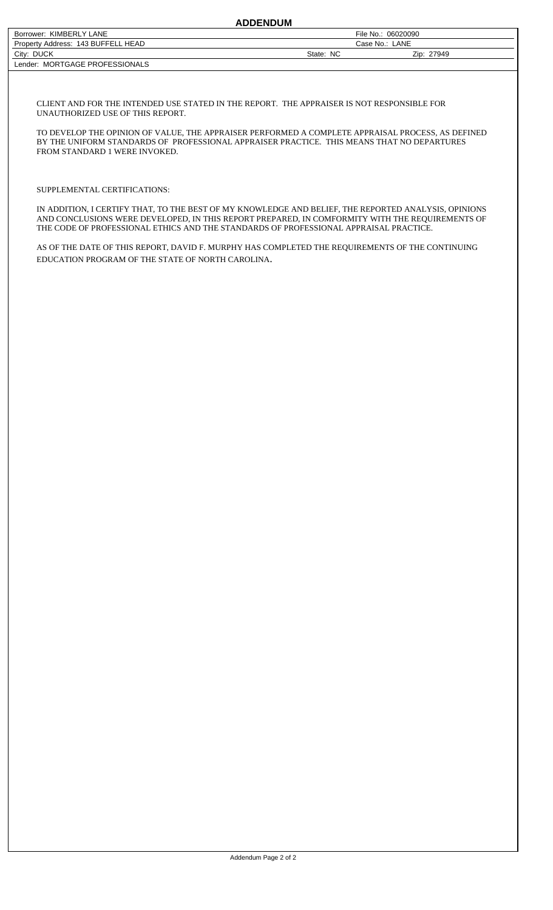| <b>ADDENDUM</b>                    |           |                    |
|------------------------------------|-----------|--------------------|
| Borrower: KIMBERLY LANE            |           | File No.: 06020090 |
| Property Address: 143 BUFFELL HEAD |           | Case No.: LANE     |
| City: DUCK                         | State: NC | Zip: 27949         |
| Lender: MORTGAGE PROFESSIONALS     |           |                    |

CLIENT AND FOR THE INTENDED USE STATED IN THE REPORT. THE APPRAISER IS NOT RESPONSIBLE FOR UNAUTHORIZED USE OF THIS REPORT.

TO DEVELOP THE OPINION OF VALUE, THE APPRAISER PERFORMED A COMPLETE APPRAISAL PROCESS, AS DEFINED BY THE UNIFORM STANDARDS OF PROFESSIONAL APPRAISER PRACTICE. THIS MEANS THAT NO DEPARTURES FROM STANDARD 1 WERE INVOKED.

SUPPLEMENTAL CERTIFICATIONS:

IN ADDITION, I CERTIFY THAT, TO THE BEST OF MY KNOWLEDGE AND BELIEF, THE REPORTED ANALYSIS, OPINIONS AND CONCLUSIONS WERE DEVELOPED, IN THIS REPORT PREPARED, IN COMFORMITY WITH THE REQUIREMENTS OF THE CODE OF PROFESSIONAL ETHICS AND THE STANDARDS OF PROFESSIONAL APPRAISAL PRACTICE.

AS OF THE DATE OF THIS REPORT, DAVID F. MURPHY HAS COMPLETED THE REQUIREMENTS OF THE CONTINUING EDUCATION PROGRAM OF THE STATE OF NORTH CAROLINA.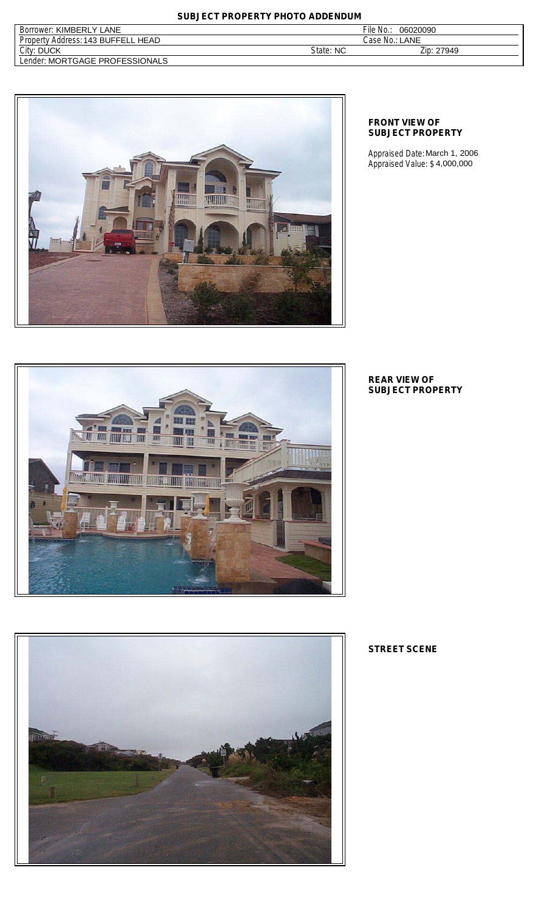### **SUBJECT PROPERTY PHOTO ADDENDUM**

Borrower: KIMBERLY LANE Property Address: 143 BUFFELL HEAD LANE CASE No.: LANE City: DUCK Zip: 27949 DUCK DUCK 27949 File No.: 06020090<br>Case No.: LANE

Lender: MORTGAGE PROFESSIONALS



#### **FRONT VIEW OF SUBJECT PROPERTY**

Appraised Date: March 1, 2006Appraised Value: \$ 4,000,000



**REAR VIEW OF SUBJECT PROPERTY**



### **STREET SCENE**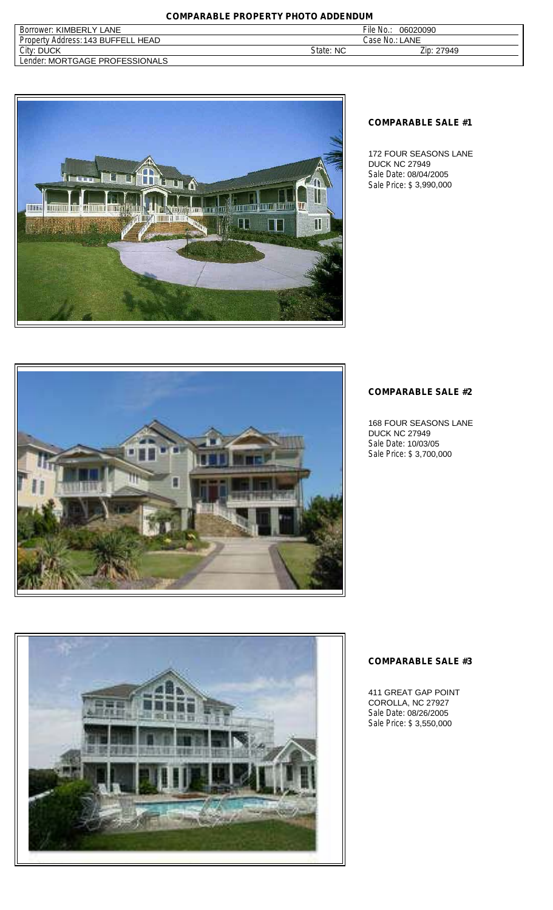### **COMPARABLE PROPERTY PHOTO ADDENDUM**

| $\overline{\phantom{0}}$<br>LANE<br>KIMBERL.<br>Borrower                                                                                                                                                                                                                                                                                                                                                                                                                                   |                     | File No<br>06020090 |
|--------------------------------------------------------------------------------------------------------------------------------------------------------------------------------------------------------------------------------------------------------------------------------------------------------------------------------------------------------------------------------------------------------------------------------------------------------------------------------------------|---------------------|---------------------|
| -<br>Address: 143 BUFFELL<br><b>HEAD</b><br>Property                                                                                                                                                                                                                                                                                                                                                                                                                                       |                     | LANE<br>Case No.:   |
| City: DUCK                                                                                                                                                                                                                                                                                                                                                                                                                                                                                 | State:<br><b>NC</b> | -.<br>27949<br>∠ip∵ |
| $\blacksquare$ $\blacksquare$ $\blacksquare$ $\blacksquare$ $\blacksquare$ $\blacksquare$ $\blacksquare$ $\blacksquare$ $\blacksquare$ $\blacksquare$ $\blacksquare$ $\blacksquare$ $\blacksquare$ $\blacksquare$ $\blacksquare$ $\blacksquare$ $\blacksquare$ $\blacksquare$ $\blacksquare$ $\blacksquare$ $\blacksquare$ $\blacksquare$ $\blacksquare$ $\blacksquare$ $\blacksquare$ $\blacksquare$ $\blacksquare$ $\blacksquare$ $\blacksquare$ $\blacksquare$ $\blacksquare$ $\blacks$ |                     |                     |

Lender: MORTGAGE PROFESSIONALS



### **COMPARABLE SALE #1**

Sale Date: 08/04/2005 Sale Price: \$ 3,990,000 DUCK NC 27949 172 FOUR SEASONS LANE



### **COMPARABLE SALE #2**

Sale Date: 10/03/05 Sale Price: \$ 3,700,000 DUCK NC 27949 168 FOUR SEASONS LANE



### **COMPARABLE SALE #3**

Sale Date: 08/26/2005 Sale Price: \$ 3,550,000 COROLLA, NC 27927 411 GREAT GAP POINT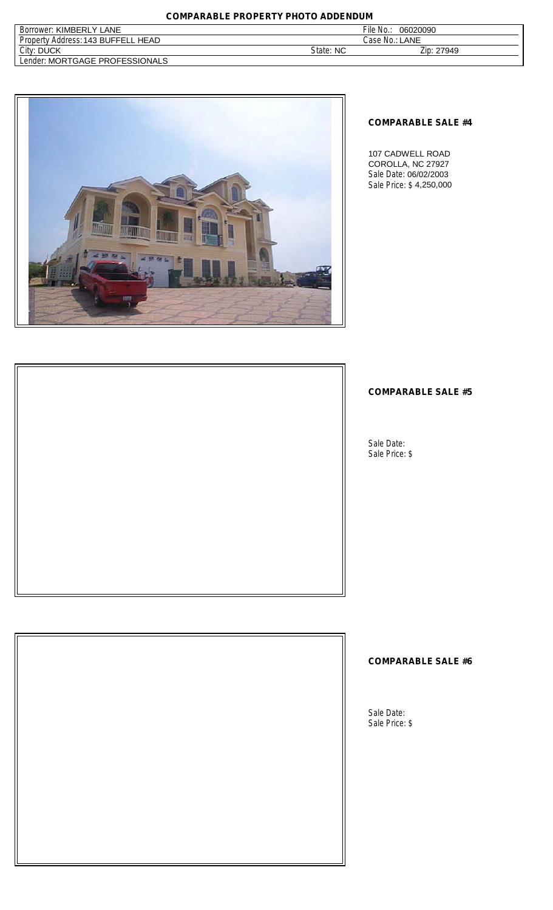| Borrower: KIMBERLY LANE            | File No   | 06020090       |
|------------------------------------|-----------|----------------|
| Property Address: 143 BUFFELL HEAD |           | Case No.: LANE |
| City: DUCK                         | State: NC | Zip: 27949     |
| Lender: MORTGAGE PROFESSIONALS     |           |                |



### **COMPARABLE SALE #4**

Sale Date: 06/02/2003 Sale Price: \$ 4,250,000 COROLLA, NC 27927 107 CADWELL ROAD

### **COMPARABLE SALE #5**

Sale Date: Sale Price: \$

**COMPARABLE SALE #6**

Sale Date: Sale Price: \$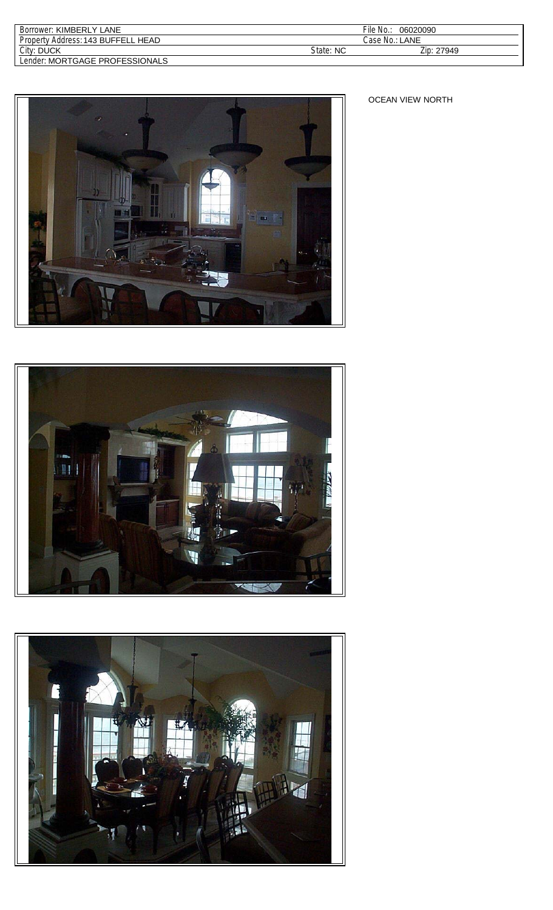| Borrower: KIMBERLY LANE            | File No.: | 06020090       |  |
|------------------------------------|-----------|----------------|--|
| Property Address: 143 BUFFELL HEAD |           | Case No.: LANE |  |
| City: DUCK                         | State: NC | Zip: 27949     |  |
| Lender: MORTGAGE PROFESSIONALS     |           |                |  |







### OCEAN VIEW NORTH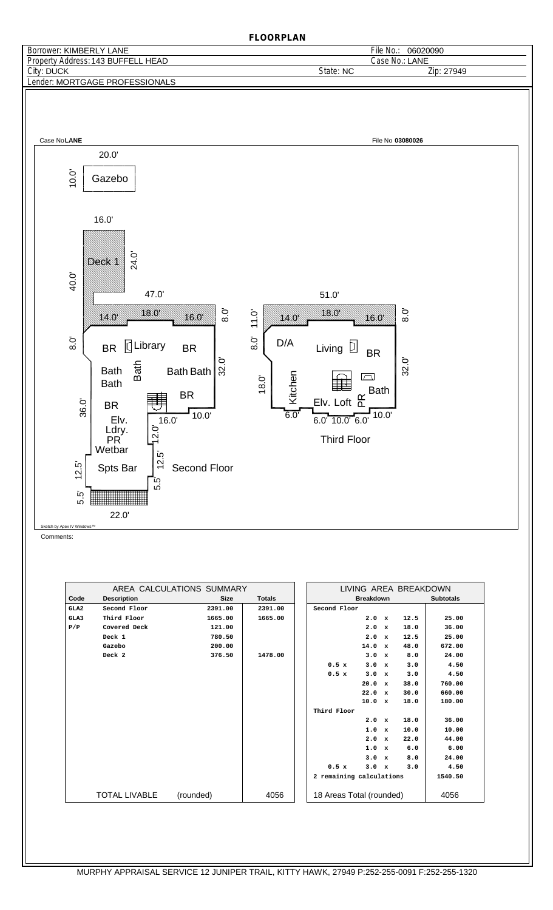### **FLOORPLAN**



Comments:

|                  |                      | AREA CALCULATIONS SUMMARY |               | LIVING AREA BREAKDOWN                       |
|------------------|----------------------|---------------------------|---------------|---------------------------------------------|
| Code             | <b>Description</b>   | <b>Size</b>               | <b>Totals</b> | <b>Breakdown</b><br><b>Subtotals</b>        |
| GLA <sub>2</sub> | Second Floor         | 2391.00                   | 2391.00       | Second Floor                                |
| GLA3             | Third Floor          | 1665.00                   | 1665.00       | 2.0 x<br>12.5<br>25.00                      |
| P/P              | Covered Deck         | 121.00                    |               | 2.0<br>18.0<br>36.00<br>$\mathbf{x}$        |
|                  | Deck 1               | 780.50                    |               | 2.0<br>12.5<br>25.00<br>$\mathbf{x}$        |
|                  | Gazebo               | 200.00                    |               | 14.0<br>48.0<br>672.00<br>$\mathbf{x}$      |
|                  | Deck <sub>2</sub>    | 376.50                    | 1478.00       | 3.0<br>24.00<br>8.0<br>$\mathbf{x}$         |
|                  |                      |                           |               | 0.5 x<br>3.0<br>4.50<br>3.0<br>$\mathbf{x}$ |
|                  |                      |                           |               | 0.5 x<br>4.50<br>3.0<br>3.0<br>$\mathbf{x}$ |
|                  |                      |                           |               | 760.00<br>20.0<br>38.0<br>$\mathbf{x}$      |
|                  |                      |                           |               | 22.0<br>30.0<br>660.00<br>$\mathbf{x}$      |
|                  |                      |                           |               | 10.0<br>18.0<br>180.00<br>$\mathbf{x}$      |
|                  |                      |                           |               | Third Floor                                 |
|                  |                      |                           |               | 36.00<br>2.0<br>18.0<br>$\mathbf{x}$        |
|                  |                      |                           |               | 10.0<br>10.00<br>1.0<br>$\mathbf{x}$        |
|                  |                      |                           |               | 44.00<br>2.0<br>22.0<br>$\mathbf{x}$        |
|                  |                      |                           |               | 6.00<br>1.0<br>6.0<br>$\mathbf{x}$          |
|                  |                      |                           |               | 3.0<br>8.0<br>24.00<br>$\mathbf{x}$         |
|                  |                      |                           |               | 0.5 x<br>3.0 x<br>3.0<br>4.50               |
|                  |                      |                           |               | 2 remaining calculations<br>1540.50         |
|                  | <b>TOTAL LIVABLE</b> | (rounded)                 | 4056          | 18 Areas Total (rounded)<br>4056            |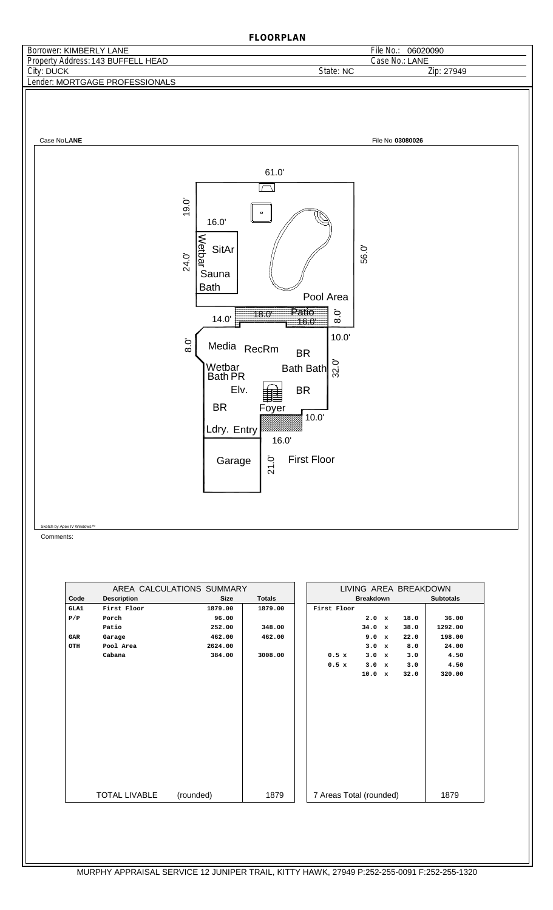

Comments:

|            | AREA CALCULATIONS SUMMARY |             |               | LIVING AREA BREAKDOWN                       |
|------------|---------------------------|-------------|---------------|---------------------------------------------|
| Code       | <b>Description</b>        | <b>Size</b> | <b>Totals</b> | <b>Breakdown</b><br><b>Subtotals</b>        |
| GLA1       | First Floor               | 1879.00     | 1879.00       | First Floor                                 |
| P/P        | Porch                     | 96.00       |               | 36.00<br>2.0<br>18.0<br>$\mathbf{x}$        |
|            | Patio                     | 252.00      | 348.00        | 34.0<br>38.0<br>1292.00<br>$\mathbf{x}$     |
| <b>GAR</b> | Garage                    | 462.00      | 462.00        | 9.0<br>22.0<br>198.00<br>$\mathbf{x}$       |
| OTH        | Pool Area                 | 2624.00     |               | 3.0<br>8.0<br>24.00<br>$\mathbf{x}$         |
|            | Cabana                    | 384.00      | 3008.00       | 0.5 x<br>4.50<br>3.0<br>3.0<br>$\mathbf{x}$ |
|            |                           |             |               | 0.5 x<br>4.50<br>3.0<br>3.0<br>$\mathbf{x}$ |
|            |                           |             |               | 10.0<br>32.0<br>320.00<br>$\mathbf{x}$      |
|            |                           |             |               |                                             |
|            |                           |             |               |                                             |
|            |                           |             |               |                                             |
|            |                           |             |               |                                             |
|            |                           |             |               |                                             |
|            |                           |             |               |                                             |
|            |                           |             |               |                                             |
|            |                           |             |               |                                             |
|            |                           |             |               |                                             |
|            |                           |             |               |                                             |
|            |                           |             |               |                                             |
|            |                           |             |               |                                             |
|            | <b>TOTAL LIVABLE</b>      | (rounded)   | 1879          | 7 Areas Total (rounded)<br>1879             |
|            |                           |             |               |                                             |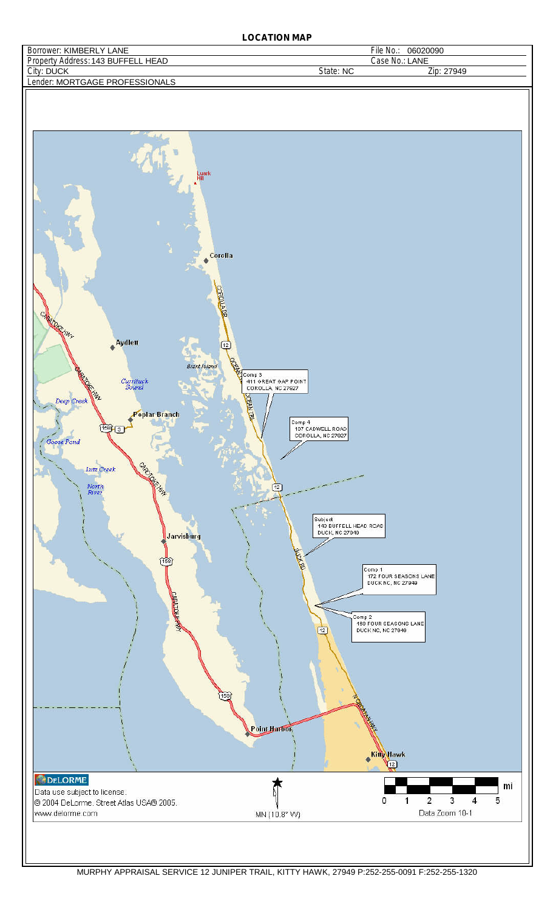### **LOCATION MAP**

| Borrower: KIMBERLY LANE            | File No.:<br>06020090<br>Case No.: LANE |            |  |
|------------------------------------|-----------------------------------------|------------|--|
| Property Address: 143 BUFFELL HEAD |                                         |            |  |
| City: DUCK                         | State: NC                               | Zip: 27949 |  |
| Lender: MORTGAGE PROFESSIONALS     |                                         |            |  |